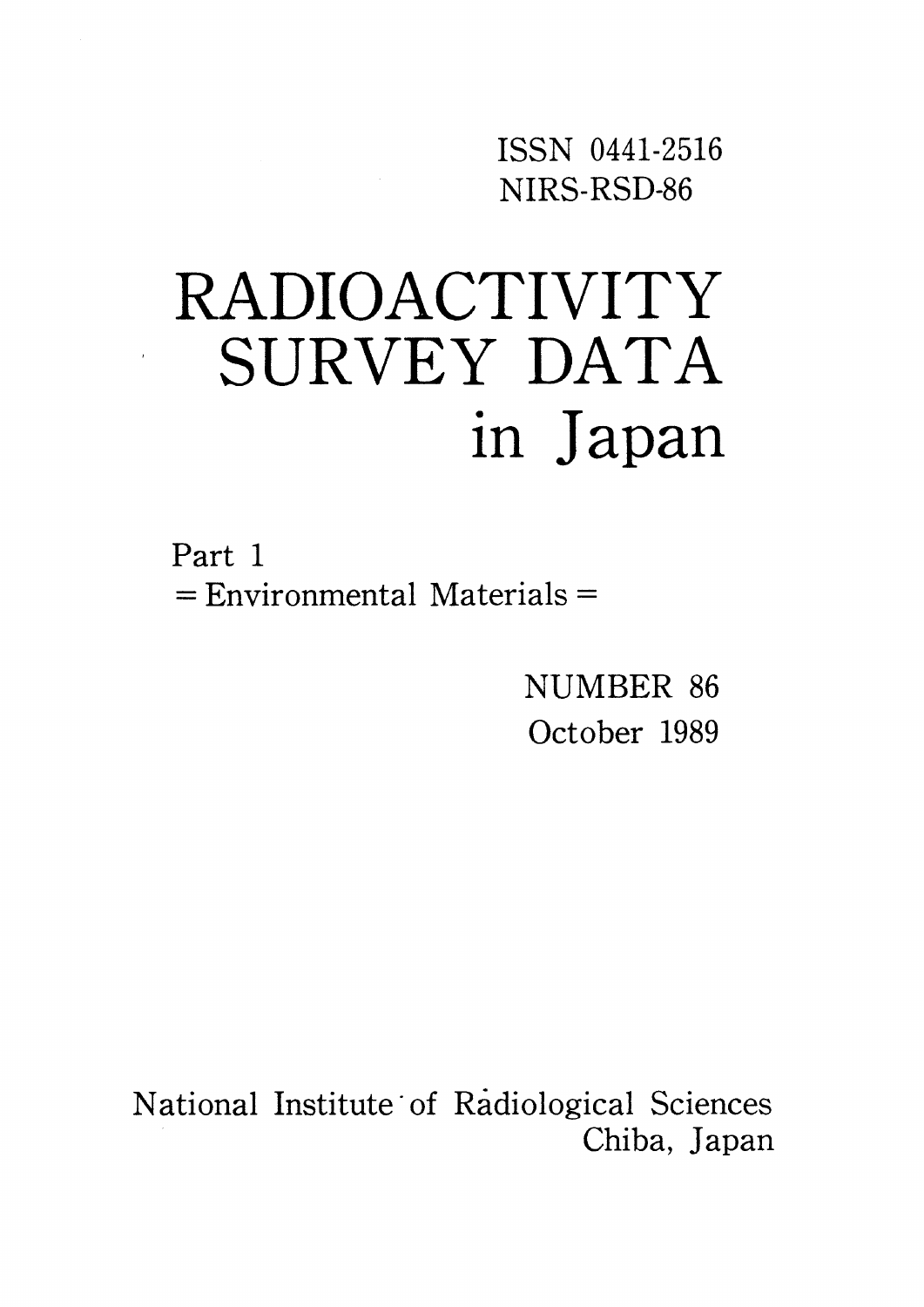ISSN O441-2516 NIRS-RSD-86

# RADIOACTIVITY SURVEY DATA in Japan

Part 1  $=$  Environmental Materials  $=$ 

> NUMBER 86 October 1989

National Institute of Radiological Sciences Chiba, Japan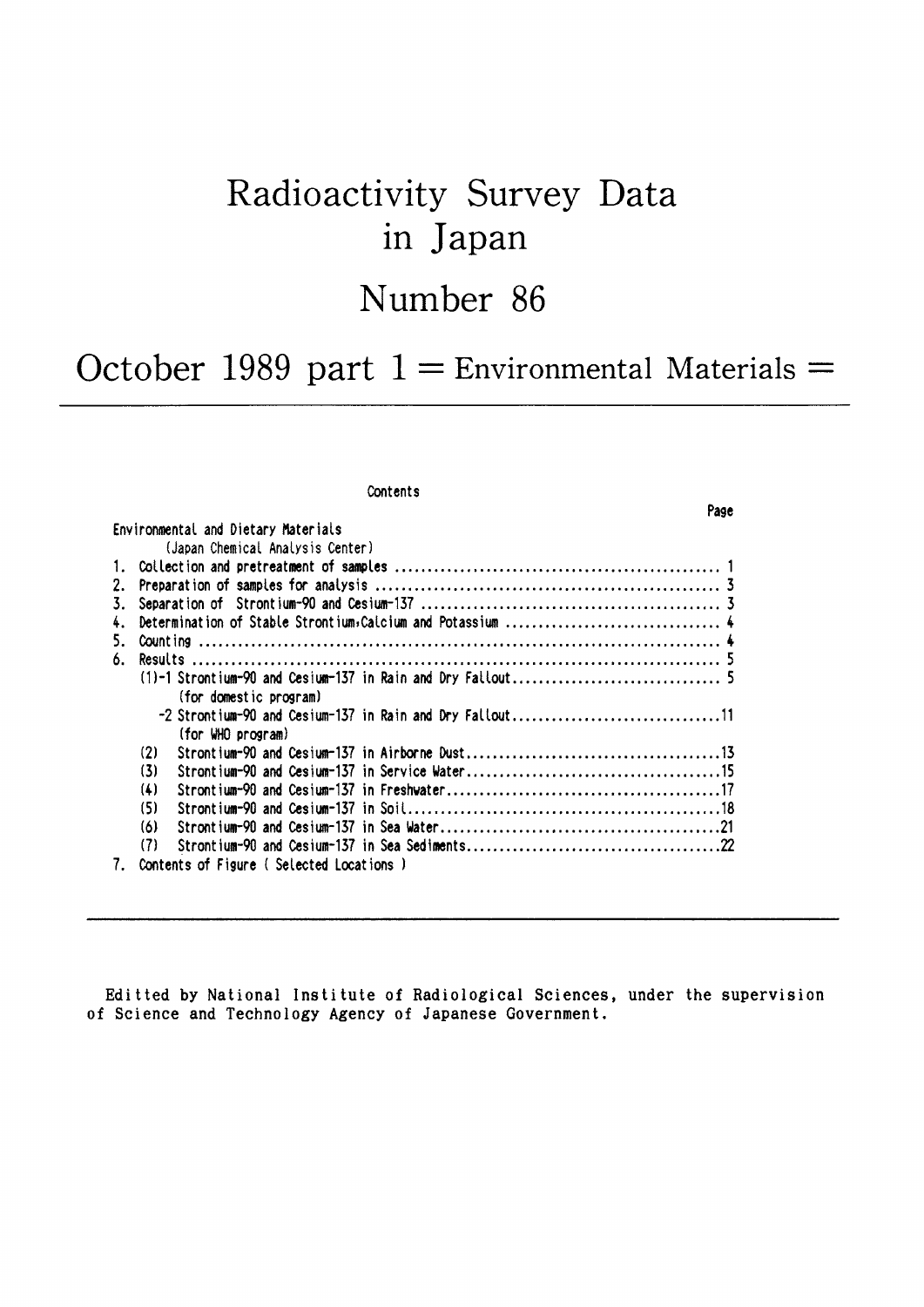# Radioactivity Survey Data in Japan

# Number 86

October 1989 part  $1 =$  Environmental Materials =

### Contents

Page

| Environmental and Dietary Materials<br>(Japan Chemical Analysis Center) |  |
|-------------------------------------------------------------------------|--|
|                                                                         |  |
|                                                                         |  |
| 2.                                                                      |  |
| 3.                                                                      |  |
| 4.                                                                      |  |
| 5.                                                                      |  |
| 6.                                                                      |  |
|                                                                         |  |
| (for domestic program)                                                  |  |
| -2 Strontium-90 and Cesium-137 in Rain and Dry Fallout11                |  |
| (for WHO program)                                                       |  |
| (2)                                                                     |  |
| (3)                                                                     |  |
| (4)                                                                     |  |
| (5)                                                                     |  |
| (6)                                                                     |  |
| (7)                                                                     |  |
| Contents of Figure (Selected Locations)<br>7.                           |  |

Editted by National Institute of Radiological Sciences, under the supervision of Science and Technology Agency of Japanese Government.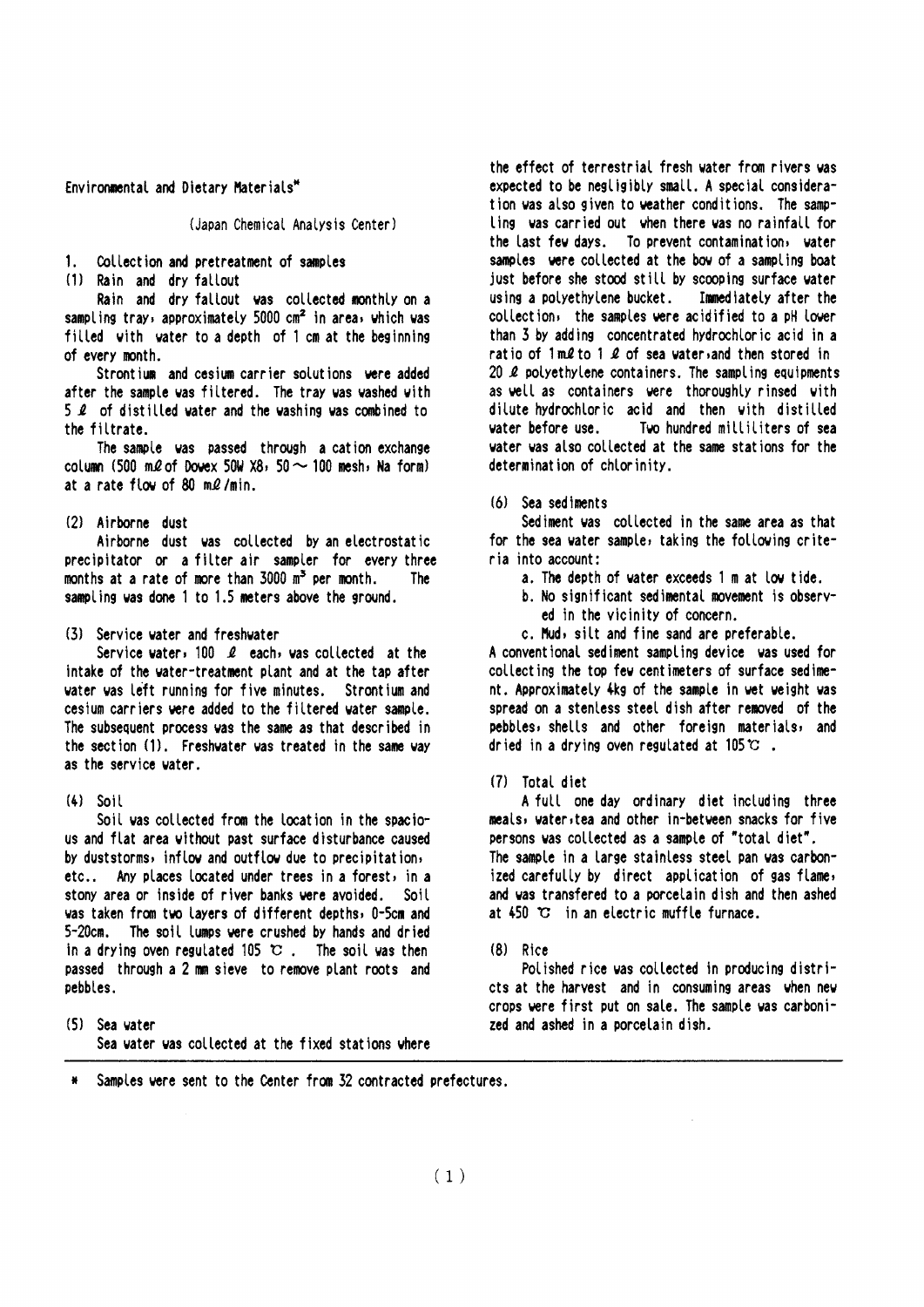Environmental and Dietary Materials\*

(Japan Chemical Analysis Center)

 $1.$ Collection and pretreatment of samples

(1) Rain and dry fallout

Rain and dry fallout was collected monthly on a sampling tray, approximately 5000  $cm<sup>2</sup>$  in area, which was filled with water to a depth of 1 cm at the beginning of every month.

Strontium and cesium carrier solutions were added after the sample was filtered. The tray was washed with  $5$   $\ell$  of distilled water and the washing was combined to the filtrate.

The sample was passed through a cation exchange column (500 ml of Dowex 50W X8, 50  $\sim$  100 mesh, Na form) at a rate flow of 80 ml/min.

(2) Airborne dust

Airborne dust was collected by an electrostatic precipitator or a filter air sampler for every three months at a rate of more than 3000 m<sup>3</sup> per month. The **The** sampling was done 1 to 1.5 meters above the ground.

(3) Service water and freshwater

Service water, 100  $\ell$  each, was collected at the intake of the water-treatment plant and at the tap after water was left running for five minutes. Strontium and cesium carriers were added to the filtered water sample. The subsequent process was the same as that described in the section (1). Freshwater was treated in the same way as the service water.

 $(4)$  Soil

Soil was collected from the location in the spacious and flat area without past surface disturbance caused by duststorms, inflow and outflow due to precipitation, etc.. Any places located under trees in a forest, in a stony area or inside of river banks were avoided. Soil was taken from two layers of different depths, 0-5cm and 5-20cm. The soil lumps were crushed by hands and dried in a drying oven regulated 105  $\circ$ . The soil was then passed through a 2 mm sieve to remove plant roots and pebbles.

the effect of terrestrial fresh water from rivers was expected to be negligibly small. A special consideration was also given to weather conditions. The sampling was carried out when there was no rainfall for the last few days. To prevent contamination, water samples were collected at the bow of a sampling boat just before she stood still by scooping surface water using a polyethylene bucket. Immediately after the collection, the samples were acidified to a pH lower than 3 by adding concentrated hydrochloric acid in a ratio of 1ml to 1 l of sea water, and then stored in 20 2 polyethylene containers. The sampling equipments as well as containers were thoroughly rinsed with dilute hydrochloric acid and then with distilled water before use. Two hundred milliliters of sea water was also collected at the same stations for the determination of chlorinity.

(6) Sea sediments

Sediment was collected in the same area as that for the sea water sample, taking the following criteria into account:

- a. The depth of water exceeds 1 m at low tide.
- b. No significant sedimental movement is observed in the vicinity of concern.
- c. Mud, silt and fine sand are preferable.

A conventional sediment sampling device was used for collecting the top few centimeters of surface sediment. Approximately 4kg of the sample in wet weight was spread on a stenless steel dish after removed of the pebbles, shells and other foreign materials, and dried in a drying oven regulated at  $105 \, \degree$ .

(7) Total diet

A full one day ordinary diet including three meals, water, tea and other in-between snacks for five persons was collected as a sample of "total diet". The sample in a large stainless steel pan was carbonized carefully by direct application of gas flame, and was transfered to a porcelain dish and then ashed at 450 °C in an electric muffle furnace.

 $(B)$  Rice

Polished rice was collected in producing districts at the harvest and in consuming areas when new crops were first put on sale. The sample was carbonized and ashed in a porcelain dish.

Samples were sent to the Center from 32 contracted prefectures.

<sup>(5)</sup> Sea water Sea water was collected at the fixed stations where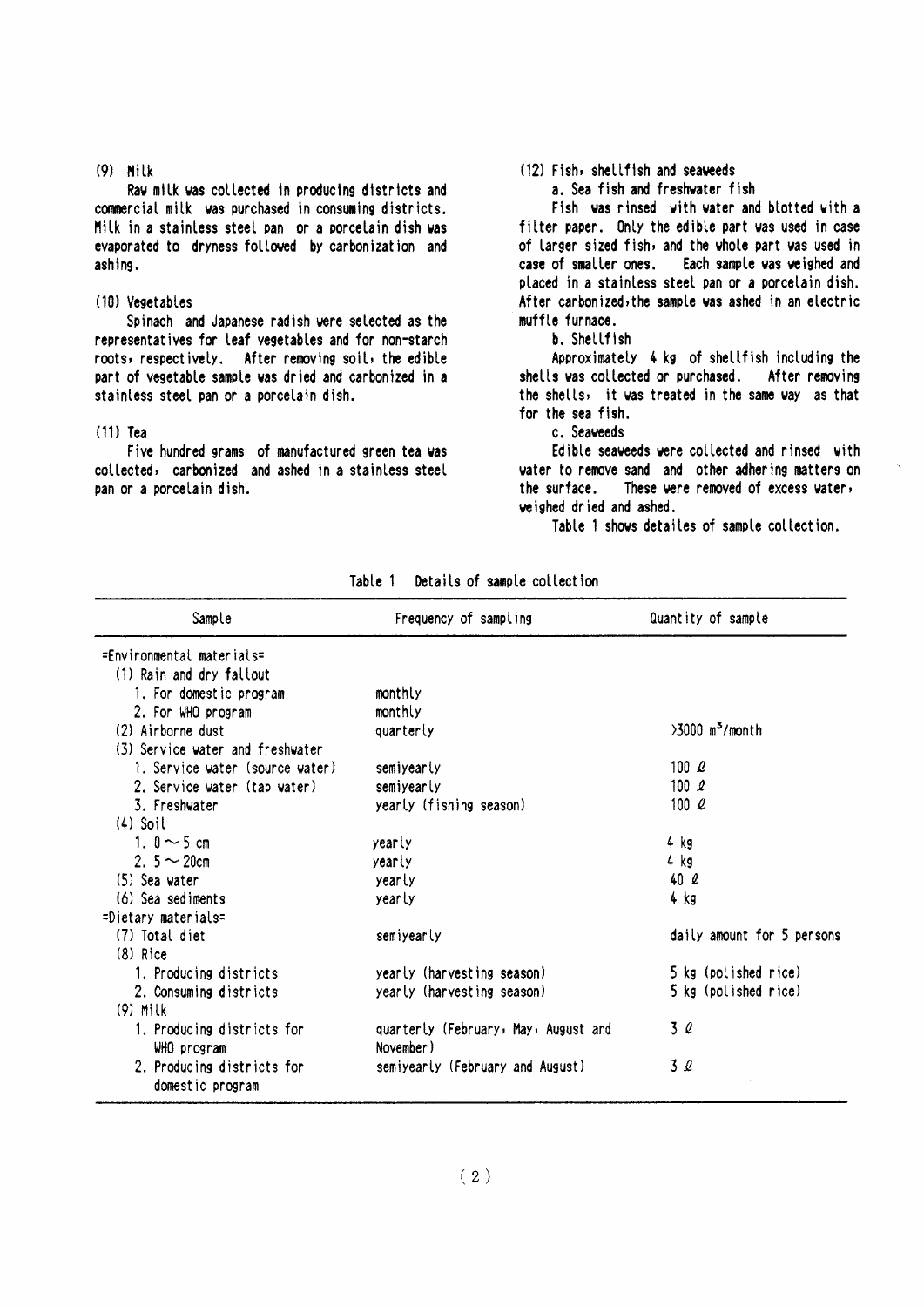#### $(9)$  Milk

Raw milk was collected in producing districts and commercial milk was purchased in consuming districts. Milk in a stainless steel pan or a porcelain dish was evaporated to dryness followed by carbonization and ashing.

#### (10) Vegetables

Spinach and Japanese radish were selected as the representatives for leaf vegetables and for non-starch roots, respectively. After removing soil, the edible part of vegetable sample was dried and carbonized in a stainless steel pan or a porcelain dish.

#### $(11)$  Tea

Five hundred grams of manufactured green tea was collected, carbonized and ashed in a stainless steel pan or a porcelain dish.

### (12) Fish, shellfish and seaweeds

a. Sea fish and freshwater fish

Fish was rinsed with water and blotted with a filter paper. Only the edible part was used in case of larger sized fish, and the whole part was used in case of smaller ones. Each sample was weighed and placed in a stainless steel pan or a porcelain dish. After carbonized, the sample was ashed in an electric muffle furnace.

b. Shellfish

Approximately 4 kg of shellfish including the shells was collected or purchased. After removing the shells, it was treated in the same way as that for the sea fish.

c. Seaveeds

Edible seaveeds were collected and rinsed with water to remove sand and other adhering matters on the surface. These were removed of excess water, veighed dried and ashed.

Table 1 shows detailes of sample collection.

| Sample                           | Frequency of sampling                | Quantity of sample            |
|----------------------------------|--------------------------------------|-------------------------------|
| $=$ Fnyironmental materials $=$  |                                      |                               |
| (1) Rain and dry fallout         |                                      |                               |
| 1. For domestic program          | monthly                              |                               |
| 2. For WHO program               | monthly                              |                               |
| (2) Airborne dust                | quarterly                            | $>3000$ m <sup>3</sup> /month |
| (3) Service water and freshwater |                                      |                               |
| 1. Service water (source water)  | semiyearly                           | 100 l                         |
| 2. Service water (tap water)     | semiyearly                           | 100 $\ell$                    |
| 3. Freshvater                    | yearly (fishing season)              | 100 $\ell$                    |
| $(4)$ Soil                       |                                      |                               |
| 1. $0 \sim 5$ cm                 | yearly                               | 4 kg                          |
| 2. $5 \sim 20$ cm                | yearly                               | 4 kg                          |
| $(5)$ Sea water                  | yearly                               | 40 <sub>2</sub>               |
| $(6)$ Sea sediments              | yearly                               | 4 kg                          |
| $=$ Dietary materials=           |                                      |                               |
| (7) Total diet                   | semiyearly                           | daily amount for 5 persons    |
| $(8)$ Rice                       |                                      |                               |
| 1. Producing districts           | yearly (harvesting season)           | 5 kg (polished rice)          |
| 2. Consuming districts           | yearly (harvesting season)           | 5 kg (polished rice)          |
| $(9)$ Milk                       |                                      |                               |
| 1. Producing districts for       | quarterly (February, May, August and | 3 Q                           |
| WHO program                      | November)                            |                               |
| 2. Producing districts for       | semiyearly (February and August)     | 3Q                            |
| domestic program                 |                                      |                               |

Details of sample collection Table 1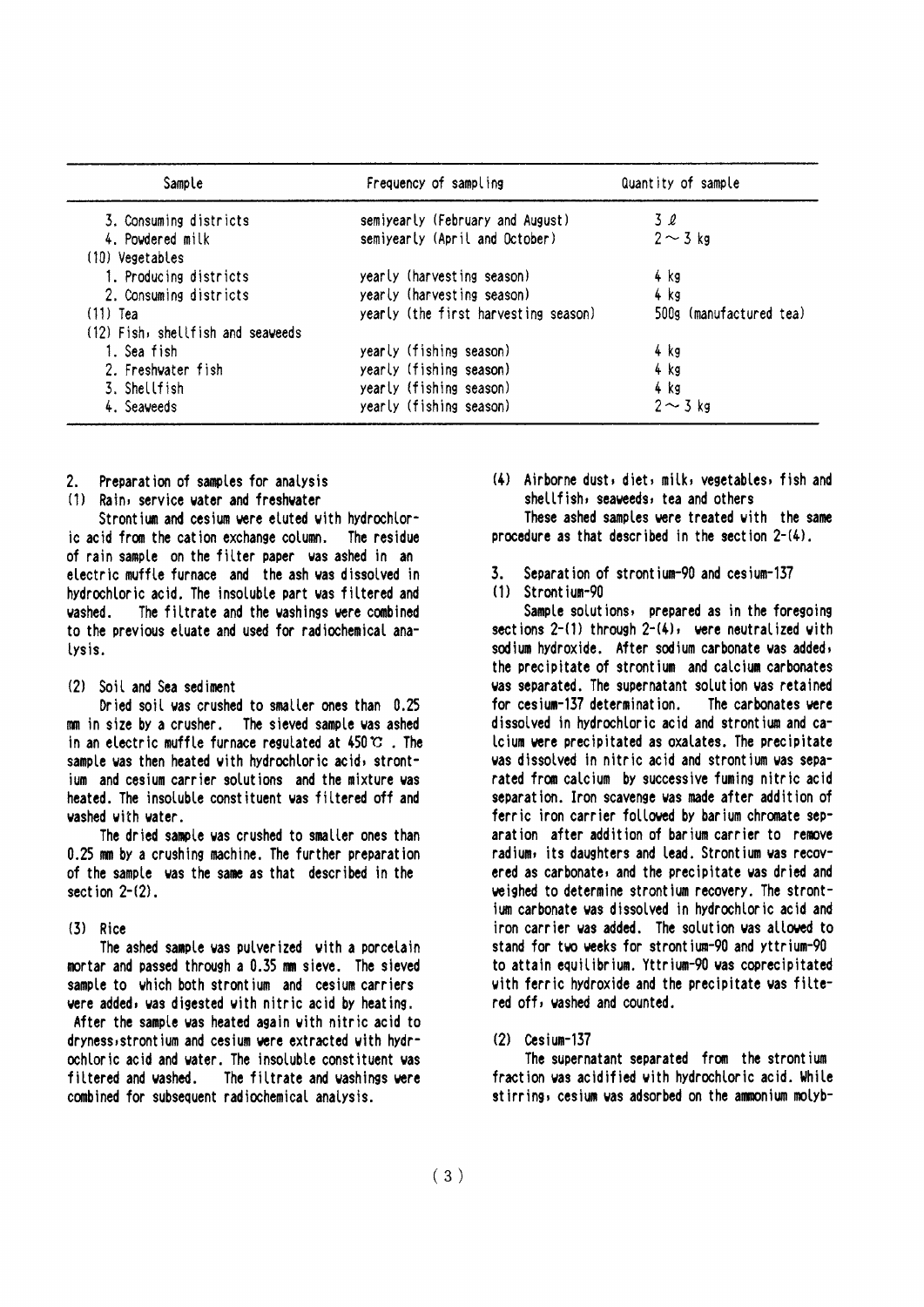| Sample                            | Frequency of sampling                | Quantity of sample      |
|-----------------------------------|--------------------------------------|-------------------------|
| 3. Consuming districts            | semiyearly (February and August)     | $3\ell$                 |
| 4. Powdered milk                  | semiyearly (April and October)       | $2 \sim 3$ kg           |
| (10) Vegetables                   |                                      |                         |
| 1. Producing districts            | yearly (harvesting season)           | 4 kg                    |
| 2. Consuming districts            | yearly (harvesting season)           | 4 kg                    |
| $(11)$ Tea                        | yearly (the first harvesting season) | 500g (manufactured tea) |
| (12) Fish, shellfish and seaveeds |                                      |                         |
| 1. Sea fish                       | yearly (fishing season)              | 4 kg                    |
| 2. Freshvater fish                | yearly (fishing season)              | 4 kg                    |
| 3. Shellfish                      | yearly (fishing season)              | 4 kg                    |
| 4. Seaveeds                       | yearly (fishing season)              | $2 \sim 3$ kg           |

- Preparation of samples for analysis  $\mathcal{P}$
- (1) Rain, service water and freshwater

Strontium and cesium were eluted with hydrochloric acid from the cation exchange column. The residue of rain sample on the filter paper was ashed in an electric muffle furnace and the ash was dissolved in hydrochloric acid. The insoluble part was filtered and The filtrate and the washings were combined uashed to the previous eluate and used for radiochemical analysis.

### (2) Soil and Sea sediment

Dried soil was crushed to smaller ones than 0.25 mm in size by a crusher. The sieved sample was ashed in an electric muffle furnace regulated at  $450 \, \text{°C}$ . The sample was then heated with hydrochloric acid, strontjum and cesium carrier solutions and the mixture was heated. The insoluble constituent was filtered off and vashed with vater.

The dried sample was crushed to smaller ones than 0.25 mm by a crushing machine. The further preparation of the sample was the same as that described in the section  $2-(2)$ .

### $(3)$  Rice

The ashed sample was pulverized with a porcelain mortar and passed through a 0.35 mm sieve. The sieved sample to which both strontium and cesium carriers were added, was digested with nitric acid by heating. After the sample was heated again with nitric acid to dryness, strontium and cesium were extracted with hydrochloric acid and water. The insoluble constituent was filtered and vashed. The filtrate and vashings vere combined for subsequent radiochemical analysis.

(4) Airborne dust, diet, milk, vegetables, fish and shellfish, seaveeds, tea and others

These ashed samples were treated with the same procedure as that described in the section  $2-(4)$ .

Separation of strontium-90 and cesium-137  $\overline{3}$ 

### (1) Strontium-90

Sample solutions, prepared as in the foregoing sections  $2-(1)$  through  $2-(4)$ , were neutralized with sodium hydroxide. After sodium carbonate was added, the precipitate of strontium and calcium carbonates was separated. The supernatant solution was retained for cesium-137 determination. The carbonates vere dissolved in hydrochloric acid and strontium and ca-Icium were precipitated as oxalates. The precipitate was dissolved in nitric acid and strontium was separated from calcium by successive fuming nitric acid separation. Iron scavenge was made after addition of ferric iron carrier followed by barium chromate separation after addition of barium carrier to remove radium, its daughters and lead. Strontium was recovered as carbonate, and the precipitate was dried and weighed to determine strontium recovery. The strontium carbonate was dissolved in hydrochloric acid and iron carrier was added. The solution was allowed to stand for two weeks for strontium-90 and yttrium-90 to attain equilibrium. Yttrium-90 was coprecipitated with ferric hydroxide and the precipitate was filtered off, washed and counted.

### $(2)$  Cesium-137

The supernatant separated from the strontium fraction was acidified with hydrochloric acid. While stirring, cesium was adsorbed on the ammonium molyb-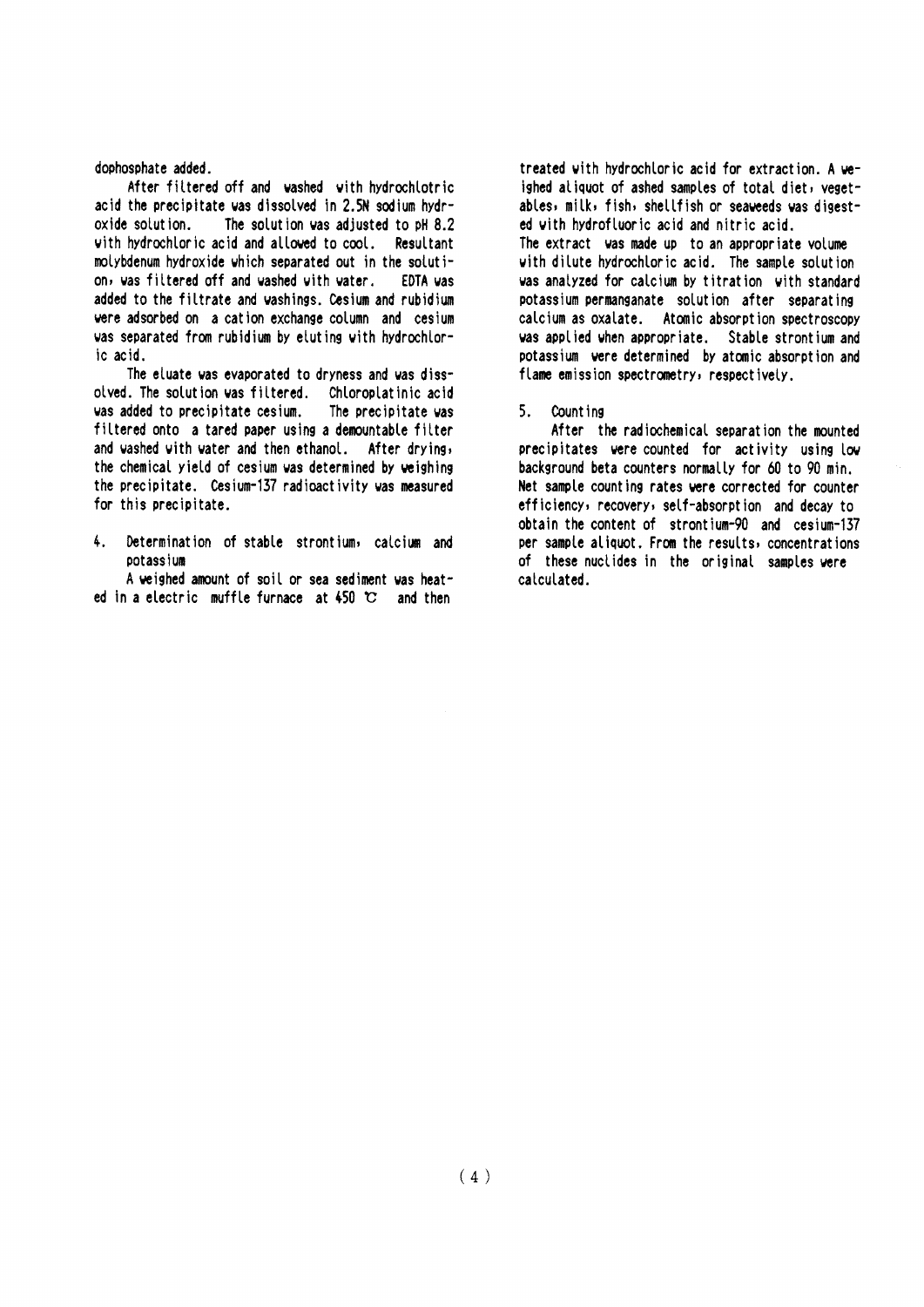#### dophosphate added.

After filtered off and washed with hydrochlotric acid the precipitate was dissolved in 2.5N sodium hydroxide solution. The solution was adjusted to pH 8.2 with hydrochloric acid and allowed to cool. Resultant molybdenum hydroxide which separated out in the solution, was filtered off and washed with water. **EDTA vas** added to the filtrate and washings. Cesium and rubidium were adsorbed on a cation exchange column and cesium was separated from rubidium by eluting with hydrochloric acid.

The eluate was evaporated to dryness and was dissolved. The solution was filtered. Chloroplatinic acid was added to precipitate cesium. The precipitate was filtered onto a tared paper using a demountable filter and washed with water and then ethanol. After drying, the chemical yield of cesium was determined by weighing the precipitate. Cesium-137 radioactivity was measured for this precipitate.

 $\mathbf{L}$ Determination of stable strontium, calcium and potassium

A weighed amount of soil or sea sediment was heated in a electric muffle furnace at  $450$  C and then

treated with hydrochloric acid for extraction. A weighed aliquot of ashed samples of total diet, yegetables, milk, fish, shellfish or seaveeds was digested with hydrofluoric acid and nitric acid.

The extract was made up to an appropriate volume with dilute hydrochloric acid. The sample solution was analyzed for calcium by titration with standard potassium permanganate solution after separating calcium as oxalate. Atomic absorption spectroscopy was applied when appropriate. Stable strontium and potassium were determined by atomic absorption and flame emission spectrometry, respectively.

#### $5.$ Count ing

After the radiochemical separation the mounted precipitates were counted for activity using low background beta counters normally for 60 to 90 min. Net sample counting rates were corrected for counter efficiency, recovery, self-absorption and decay to obtain the content of strontium-90 and cesium-137 per sample aliquot. From the results, concentrations of these nuclides in the original samples were calculated.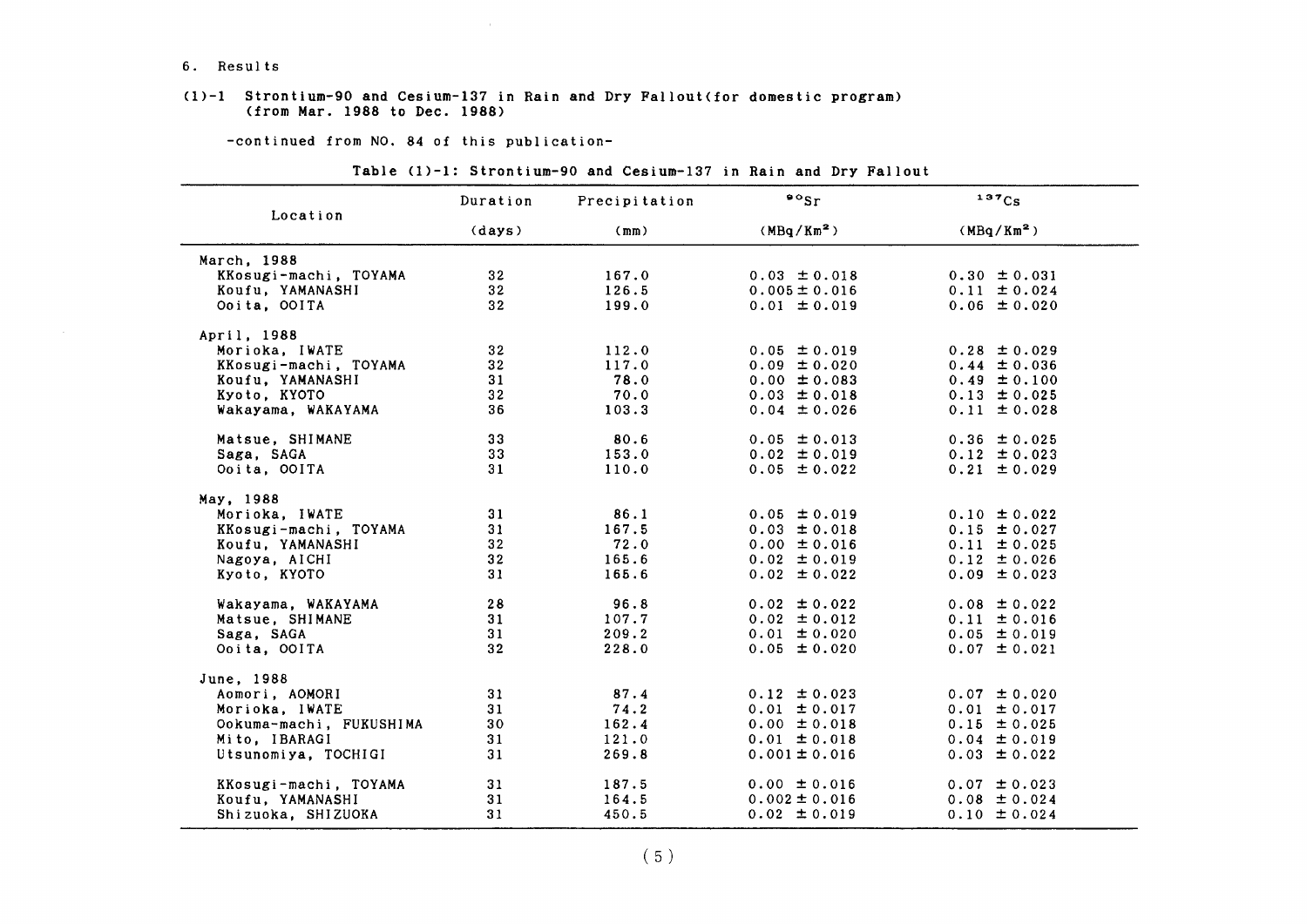#### 6. Results

#### $(1)-1$  Strontium-90 and Cesium-137 in Rain and Dry Fallout(for domestic program) (from Mar.1988 to Dee.1988)

-continued from NO. 84 of this publication-

| Location                | Duration        | Precipitation | $\circ$ sr             | 137C <sub>S</sub>      |
|-------------------------|-----------------|---------------|------------------------|------------------------|
|                         | (days)          | (mm)          | (MBq/Km <sup>2</sup> ) | (MBq/Km <sup>2</sup> ) |
| March, 1988             |                 |               |                        |                        |
| KKosugi-machi, TOYAMA   | 32 <sub>2</sub> | 167.0         | $0.03 \pm 0.018$       | $0.30 \pm 0.031$       |
| Koufu, YAMANASHI        | 32 <sub>2</sub> | 126.5         | $0.005 \pm 0.016$      | $0.11 \pm 0.024$       |
| Ooita, OOITA            | 32 <sub>2</sub> | 199.0         | $0.01 \pm 0.019$       | $0.06 \pm 0.020$       |
| April, 1988             |                 |               |                        |                        |
| Morioka, IWATE          | 32 <sub>2</sub> | 112.0         | $0.05 \pm 0.019$       | $0.28 \pm 0.029$       |
| KKosugi-machi, TOYAMA   | 32 <sub>2</sub> | 117.0         | $0.09 \pm 0.020$       | $0.44 \pm 0.036$       |
| Koufu, YAMANASHI        | 31              | 78.0          | $0.00 \pm 0.083$       | $0.49 \pm 0.100$       |
| Kyoto, KYOTO            | 32 <sub>2</sub> | 70.0          | $0.03 \pm 0.018$       | $0.13 \pm 0.025$       |
| Wakayama, WAKAYAMA      | 36              | 103.3         | $0.04 \pm 0.026$       | $0.11 \pm 0.028$       |
| Matsue, SHIMANE         | 33 <sub>o</sub> | 80.6          | $0.05 \pm 0.013$       | $0.36 \pm 0.025$       |
| Saga, SAGA              | 33              | 153.0         | $0.02 \pm 0.019$       | $0.12 \pm 0.023$       |
| Ooita, OOITA            | 31              | 110.0         | $0.05 \pm 0.022$       | $0.21 \pm 0.029$       |
| May, 1988               |                 |               |                        |                        |
| Morioka, IWATE          | 31              | 86.1          | $0.05 \pm 0.019$       | $0.10 \pm 0.022$       |
| KKosugi-machi, TOYAMA   | 31              | 167.5         | $0.03 \pm 0.018$       | $0.15 \pm 0.027$       |
| Koufu, YAMANASHI        | 32              | 72.0          | $0.00 \pm 0.016$       | $0.11 \pm 0.025$       |
| Nagoya, AICHI           | 32              | 165.6         | $0.02 \pm 0.019$       | $0.12 \pm 0.026$       |
| Kyoto, KYOTO            | 31              | 165.6         | $0.02 \pm 0.022$       | $0.09 \pm 0.023$       |
| Wakayama, WAKAYAMA      | 28              | 96.8          | $0.02 \pm 0.022$       | $0.08 \pm 0.022$       |
| Matsue, SHIMANE         | 31              | 107.7         | $0.02 \pm 0.012$       | $0.11 \pm 0.016$       |
| Saga, SAGA              | 31              | 209.2         | $0.01 \pm 0.020$       | $0.05 \pm 0.019$       |
| Ooita, OOITA            | 32              | 228.0         | $0.05 \pm 0.020$       | $0.07 \pm 0.021$       |
| June, 1988              |                 |               |                        |                        |
| Aomori, AOMORI          | 31              | 87.4          | $0.12 \pm 0.023$       | $0.07 \pm 0.020$       |
| Morioka, IWATE          | 31              | 74.2          | $0.01 \pm 0.017$       | $0.01 \pm 0.017$       |
| Ookuma-machi, FUKUSHIMA | 30              | 162.4         | $0.00 \pm 0.018$       | $0.15 \pm 0.025$       |
| Mito, IBARAGI           | 31              | 121.0         | $0.01 \pm 0.018$       | $0.04 \pm 0.019$       |
| Utsunomiya, TOCHIGI     | 31              | 269.8         | $0.001 \pm 0.016$      | $0.03 \pm 0.022$       |
| KKosugi-machi, TOYAMA   | 31              | 187.5         | $0.00 \pm 0.016$       | $0.07 \pm 0.023$       |
| Koufu, YAMANASHI        | 31              | 164.5         | $0.002 \pm 0.016$      | $0.08 \pm 0.024$       |
| Shizuoka, SHIZUOKA      | 31              | 450.5         | $0.02 \pm 0.019$       | $0.10 \pm 0.024$       |

#### Table (1)-1: Strontium-90 and Cesium-137 in Rain and Dry Fallout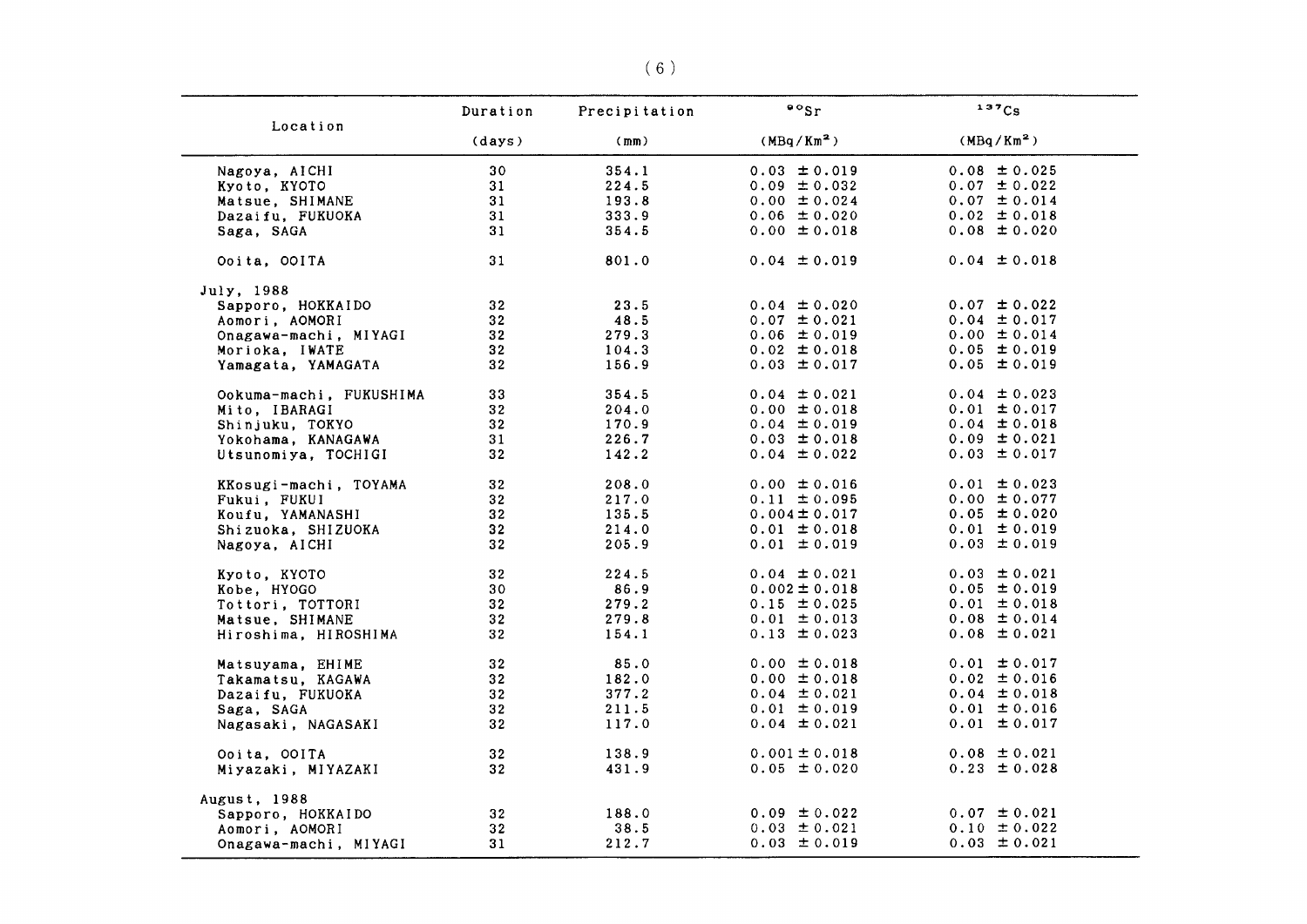|                         | Duration        | Precipitation | $\cdot$ $\cdot$ sr     | 137Cs                  |
|-------------------------|-----------------|---------------|------------------------|------------------------|
| Location                | (days)          | (mm)          | (MBq/Km <sup>2</sup> ) | (MBq/Km <sup>2</sup> ) |
| Nagoya, AICHI           | 30              | 354.1         | $0.03 \pm 0.019$       | $0.08 \pm 0.025$       |
| Kyoto, KYOTO            | 31              | 224.5         | $0.09 \pm 0.032$       | $0.07 \pm 0.022$       |
| Matsue, SHIMANE         | 31              | 193.8         | $0.00 \pm 0.024$       | $0.07 \pm 0.014$       |
| Dazaifu, FUKUOKA        | 31              | 333.9         | $0.06 \pm 0.020$       | $0.02 \pm 0.018$       |
| Saga, SAGA              | 31              | 354.5         | $0.00 \pm 0.018$       | $0.08 \pm 0.020$       |
| Ooita, OOITA            | 31              | 801.0         | $0.04 \pm 0.019$       | $0.04 \pm 0.018$       |
| July, 1988              |                 |               |                        |                        |
| Sapporo, HOKKAIDO       | 32 <sub>2</sub> | 23.5          | $0.04 \pm 0.020$       | $0.07 \pm 0.022$       |
| Aomori, AOMORI          | 32 <sub>2</sub> | 48.5          | $0.07 \pm 0.021$       | $0.04 \pm 0.017$       |
| Onagawa-machi, MIYAGI   | 32              | 279.3         | $0.06 \pm 0.019$       | $0.00 \pm 0.014$       |
| Morioka, IWATE          | 32              | 104.3         | $0.02 \pm 0.018$       | $0.05 \pm 0.019$       |
| Yamagata, YAMAGATA      | 32 <sub>2</sub> | 156.9         | $0.03 \pm 0.017$       | $0.05 \pm 0.019$       |
| Ookuma-machi, FUKUSHIMA | 33              | 354.5         | $0.04 \pm 0.021$       | $0.04 \pm 0.023$       |
| Mito, IBARAGI           | 32 <sub>2</sub> | 204.0         | $0.00 \pm 0.018$       | $0.01 \pm 0.017$       |
| Shinjuku, TOKYO         | 32 <sub>2</sub> | 170.9         | $0.04 \pm 0.019$       | $0.04 \pm 0.018$       |
| Yokohama, KANAGAWA      | 31              | 226.7         | $0.03 \pm 0.018$       | $0.09 \pm 0.021$       |
| Utsunomiya, TOCHIGI     | 32              | 142.2         | $0.04 \pm 0.022$       | $0.03 \pm 0.017$       |
| KKosugi-machi, TOYAMA   | 32 <sub>2</sub> | 208.0         | $0.00 \pm 0.016$       | $0.01 \pm 0.023$       |
| Fukui, FUKUI            | 32 <sub>2</sub> | 217.0         | $0.11 \pm 0.095$       | $0.00 \pm 0.077$       |
| Koufu, YAMANASHI        | 32              | 135.5         | $0.004 \pm 0.017$      | $0.05 \pm 0.020$       |
| Shizuoka, SHIZUOKA      | 32 <sub>2</sub> | 214.0         | $0.01 \pm 0.018$       | $0.01 \pm 0.019$       |
| Nagoya, AICHI           | 32              | 205.9         | $0.01 \pm 0.019$       | $0.03 \pm 0.019$       |
| Kyoto, KYOTO            | 32              | 224.5         | $0.04 \pm 0.021$       | $0.03 \pm 0.021$       |
| Kobe, HYOGO             | 30              | 86.9          | $0.002 \pm 0.018$      | $0.05 \pm 0.019$       |
| Tottori, TOTTORI        | 32              | 279.2         | $0.15 \pm 0.025$       | $0.01 \pm 0.018$       |
| Matsue, SHIMANE         | 32 <sub>2</sub> | 279.8         | $0.01 \pm 0.013$       | $0.08 \pm 0.014$       |
| Hiroshima, HIROSHIMA    | 32              | 154.1         | $0.13 \pm 0.023$       | $0.08 \pm 0.021$       |
| Matsuyama, EHIME        | 32 <sub>2</sub> | 85.0          | $0.00 \pm 0.018$       | $0.01 \pm 0.017$       |
| Takamatsu, KAGAWA       | 32 <sub>2</sub> | 182.0         | $0.00 \pm 0.018$       | $0.02 \pm 0.016$       |
| Dazaifu, FUKUOKA        | 32              | 377.2         | $0.04 \pm 0.021$       | $0.04 \pm 0.018$       |
| Saga, SAGA              | 32              | 211.5         | $0.01 \pm 0.019$       | $0.01 \pm 0.016$       |
| Nagasaki, NAGASAKI      | 32 <sub>2</sub> | 117.0         | $0.04 \pm 0.021$       | $0.01 \pm 0.017$       |
| Ooita, OOITA            | 32 <sub>2</sub> | 138.9         | $0.001 \pm 0.018$      | $0.08 \pm 0.021$       |
| Miyazaki, MIYAZAKI      | 32 <sub>2</sub> | 431.9         | $0.05 \pm 0.020$       | $0.23 \pm 0.028$       |
| August, 1988            |                 |               |                        |                        |
| Sapporo, HOKKAIDO       | 32 <sub>2</sub> | 188.0         | $0.09 \pm 0.022$       | $0.07 \pm 0.021$       |
| Aomori, AOMORI          | 32              | 38.5          | $0.03 \pm 0.021$       | $0.10 \pm 0.022$       |
| Onagawa-machi, MIYAGI   | 31              | 212.7         | $0.03 \pm 0.019$       | $0.03 \pm 0.021$       |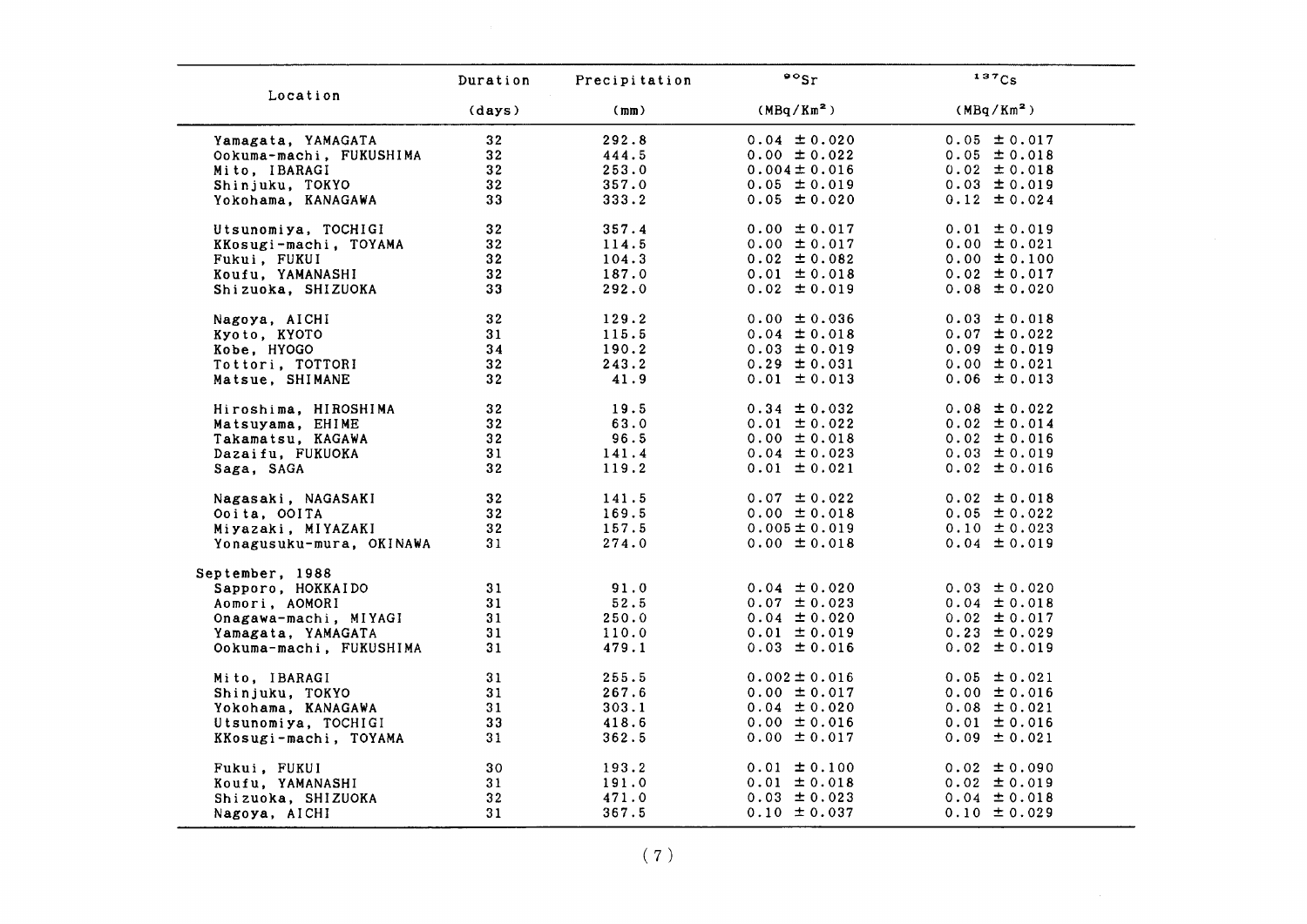|                          | Duration        | Precipitation | $\circ$ sr             | 137Cs                  |
|--------------------------|-----------------|---------------|------------------------|------------------------|
| Location                 | (days)          | (mm)          | (MBq/Km <sup>2</sup> ) | (MBq/Km <sup>2</sup> ) |
| Yamagata, YAMAGATA       | 32              | 292.8         | $0.04 \pm 0.020$       | $0.05 \pm 0.017$       |
| Ookuma-machi, FUKUSHIMA  | 32              | 444.5         | $0.00 \pm 0.022$       | $0.05 \pm 0.018$       |
| Mito, IBARAGI            | 32              | 253.0         | $0.004 \pm 0.016$      | $0.02 \pm 0.018$       |
| Shinjuku, TOKYO          | 32              | 357.0         | $0.05 \pm 0.019$       | $0.03 \pm 0.019$       |
| Yokohama, KANAGAWA       | 33              | 333.2         | $0.05 \pm 0.020$       | $0.12 \pm 0.024$       |
| Utsunomiya, TOCHIGI      | 32              | 357.4         | $0.00 \pm 0.017$       | $0.01 \pm 0.019$       |
| KKosugi-machi, TOYAMA    | 32              | 114.5         | $0.00 \pm 0.017$       | $0.00 \pm 0.021$       |
| Fukui, FUKUI             | 32 <sub>2</sub> | 104.3         | $0.02 \pm 0.082$       | $0.00 \pm 0.100$       |
| Koufu, YAMANASHI         | 32              | 187.0         | $0.01 \pm 0.018$       | $0.02 \pm 0.017$       |
| Shizuoka, SHIZUOKA       | 33              | 292.0         | $0.02 \pm 0.019$       | $0.08 \pm 0.020$       |
| Nagoya, AICHI            | 32              | 129.2         | $0.00 \pm 0.036$       | $0.03 \pm 0.018$       |
| Kyoto, KYOTO             | 31              | 115.5         | $0.04 \pm 0.018$       | $0.07 \pm 0.022$       |
| Kobe, HYOGO              | 34              | 190.2         | $0.03 \pm 0.019$       | $0.09 \pm 0.019$       |
| Tottori, TOTTORI         | 32              | 243.2         | $0.29 \pm 0.031$       | $0.00 \pm 0.021$       |
| Matsue, SHIMANE          | 32 <sub>2</sub> | 41.9          | $0.01 \pm 0.013$       | $0.06 \pm 0.013$       |
| Hiroshima, HIROSHIMA     | 32              | 19.5          | $0.34 \pm 0.032$       | $0.08 \pm 0.022$       |
| Matsuyama, EHIME         | 32              | 63.0          | $0.01 \pm 0.022$       | $0.02 \pm 0.014$       |
| Takamatsu, KAGAWA        | 32              | 96.5          | $0.00 \pm 0.018$       | $0.02 \pm 0.016$       |
| Dazaifu, FUKUOKA         | 31              | 141.4         | $0.04 \pm 0.023$       | $0.03 \pm 0.019$       |
| Saga, SAGA               | 32              | 119.2         | $0.01 \pm 0.021$       | $0.02 \pm 0.016$       |
| Nagasaki, NAGASAKI       | 32              | 141.5         | $0.07 \pm 0.022$       | $0.02 \pm 0.018$       |
| Ooita, OOITA             | 32              | 169.5         | $0.00 \pm 0.018$       | $0.05 \pm 0.022$       |
| Miyazaki, MIYAZAKI       | 32 <sub>2</sub> | 157.5         | $0.005 \pm 0.019$      | $0.10 \pm 0.023$       |
| Yonagusuku-mura, OKINAWA | 31              | 274.0         | $0.00 \pm 0.018$       | $0.04 \pm 0.019$       |
| September, 1988          |                 |               |                        |                        |
| Sapporo, HOKKAIDO        | 31              | 91.0          | $0.04 \pm 0.020$       | $0.03 \pm 0.020$       |
| Aomori, AOMORI           | 31              | 52.5          | $0.07 \pm 0.023$       | $0.04 \pm 0.018$       |
| Onagawa-machi, MIYAGI    | 31              | 250.0         | $0.04 \pm 0.020$       | $0.02 \pm 0.017$       |
| Yamagata, YAMAGATA       | 31              | 110.0         | $0.01 \pm 0.019$       | $0.23 \pm 0.029$       |
| Ookuma-machi, FUKUSHIMA  | 31              | 479.1         | $0.03 \pm 0.016$       | $0.02 \pm 0.019$       |
| Mito, IBARAGI            | 31              | 255.5         | $0.002 \pm 0.016$      | $0.05 \pm 0.021$       |
| Shinjuku, TOKYO          | 31              | 267.6         | $0.00 \pm 0.017$       | $0.00 \pm 0.016$       |
| Yokohama, KANAGAWA       | 31              | 303.1         | $0.04 \pm 0.020$       | $0.08 \pm 0.021$       |
| Utsunomiya, TOCHIGI      | 33              | 418.6         | $0.00 \pm 0.016$       | $0.01 \pm 0.016$       |
| KKosugi-machi, TOYAMA    | 31              | 362.5         | $0.00 \pm 0.017$       | $0.09 \pm 0.021$       |
| Fukui, FUKUI             | 30              | 193.2         | $0.01 \pm 0.100$       | $0.02 \pm 0.090$       |
| Koufu, YAMANASHI         | 31              | 191.0         | $0.01 \pm 0.018$       | $0.02 \pm 0.019$       |
| Shizuoka, SHIZUOKA       | 32              | 471.0         | $0.03 \pm 0.023$       | $0.04 \pm 0.018$       |
| Nagoya, AICHI            | 31              | 367.5         | $0.10 \pm 0.037$       | $0.10 \pm 0.029$       |

(7)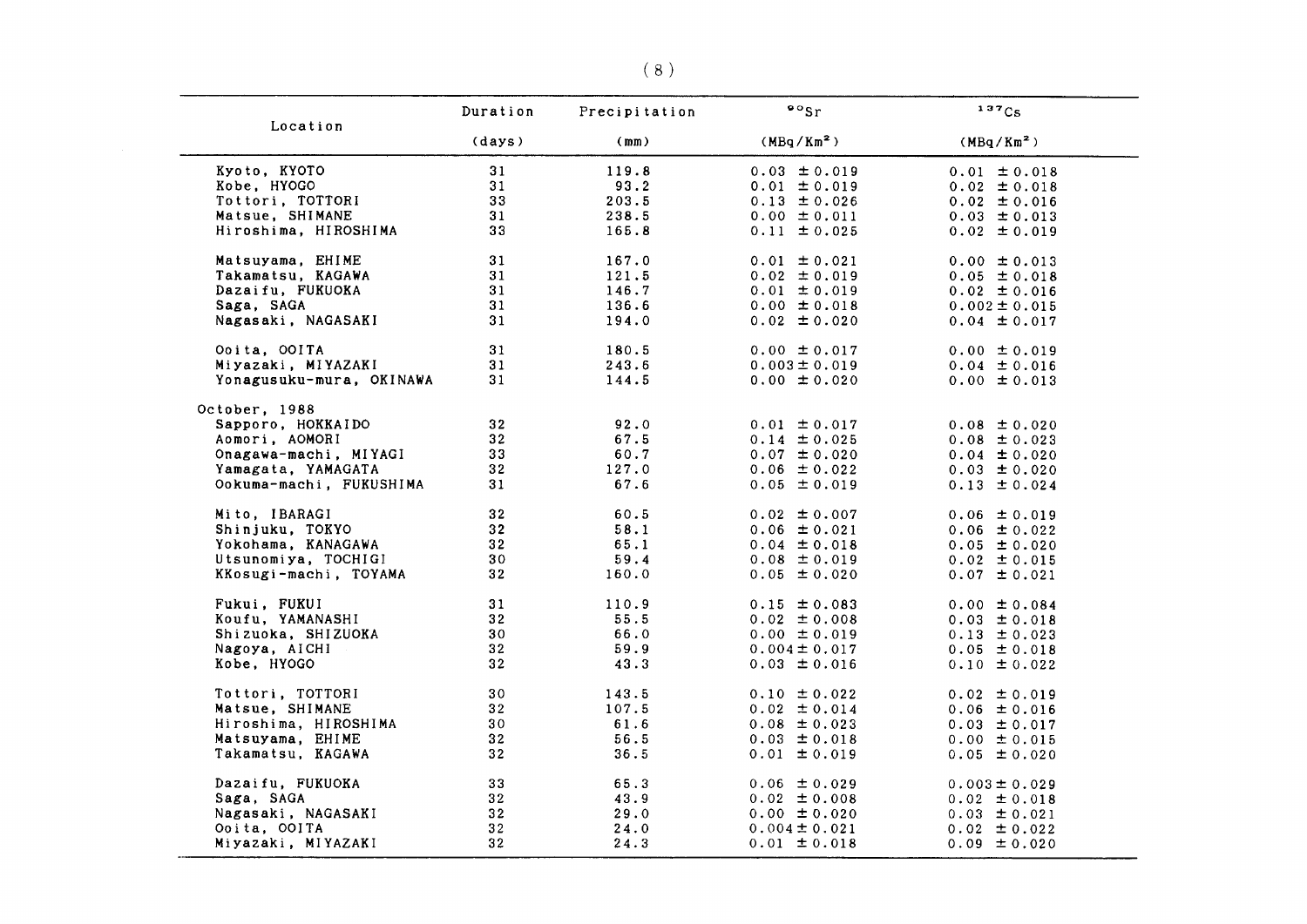|                          | Duration        | Precipitation | $\cdot \cdot$          | 137C <sub>S</sub> |
|--------------------------|-----------------|---------------|------------------------|-------------------|
| Location                 | (days)          | (mm)          | (MBq/Km <sup>2</sup> ) | $(MBq/Km^2)$      |
| Kyoto, KYOTO             | 31              | 119.8         | $0.03 \pm 0.019$       | $0.01 \pm 0.018$  |
| Kobe, HYOGO              | 31              | 93.2          | $0.01 \pm 0.019$       | $0.02 \pm 0.018$  |
| Tottori, TOTTORI         | 33              | 203.5         | $0.13 \pm 0.026$       | $0.02 \pm 0.016$  |
| Matsue, SHIMANE          | 31              | 238.5         | $0.00 \pm 0.011$       | $0.03 \pm 0.013$  |
| Hiroshima, HIROSHIMA     | 33              | 165.8         | $0.11 \pm 0.025$       | $0.02 \pm 0.019$  |
|                          |                 |               |                        |                   |
| Matsuyama, EHIME         | 31              | 167.0         | $0.01 \pm 0.021$       | $0.00 \pm 0.013$  |
| Takamatsu, KAGAWA        | 31              | 121.5         | $0.02 \pm 0.019$       | $0.05 \pm 0.018$  |
| Dazaifu, FUKUOKA         | 31              | 146.7         | $0.01 \pm 0.019$       | $0.02 \pm 0.016$  |
| Saga, SAGA               | 31              | 136.6         | $0.00 \pm 0.018$       | $0.002 \pm 0.015$ |
| Nagasaki, NAGASAKI       | 31              | 194.0         | $0.02 \pm 0.020$       | $0.04 \pm 0.017$  |
| Ooita, OOITA             | 31              | 180.5         | $0.00 \pm 0.017$       | $0.00 \pm 0.019$  |
| Miyazaki, MIYAZAKI       | 31              | 243.6         | $0.003 \pm 0.019$      | $0.04 \pm 0.016$  |
| Yonagusuku-mura, OKINAWA | 31              | 144.5         | $0.00 \pm 0.020$       | $0.00 \pm 0.013$  |
|                          |                 |               |                        |                   |
| October, 1988            |                 |               |                        |                   |
| Sapporo, HOKKAIDO        | 32              | 92.0          | $0.01 \pm 0.017$       | $0.08 \pm 0.020$  |
| Aomori, AOMORI           | 32 <sub>2</sub> | 67.5          | $0.14 \pm 0.025$       | $0.08 \pm 0.023$  |
| Onagawa-machi, MIYAGI    | 33              | 60.7          | $0.07 \pm 0.020$       | $0.04 \pm 0.020$  |
| Yamagata, YAMAGATA       | 32              | 127.0         | $0.06 \pm 0.022$       | $0.03 \pm 0.020$  |
| Ookuma-machi, FUKUSHIMA  | 31              | 67.6          | $0.05 \pm 0.019$       | $0.13 \pm 0.024$  |
| Mito, IBARAGI            | 32              | 60.5          | $0.02 \pm 0.007$       | $0.06 \pm 0.019$  |
| Shinjuku, TOKYO          | 32 <sub>2</sub> | 58.1          | $0.06 \pm 0.021$       | $0.06 \pm 0.022$  |
| Yokohama, KANAGAWA       | 32              | 65.1          | $0.04 \pm 0.018$       | $0.05 \pm 0.020$  |
| Utsunomiya, TOCHIGI      | 30              | 59.4          | $0.08 \pm 0.019$       | $0.02 \pm 0.015$  |
| KKosugi-machi, TOYAMA    | 32              | 160.0         | $0.05 \pm 0.020$       | $0.07 \pm 0.021$  |
|                          |                 |               |                        |                   |
| Fukui, FUKUI             | 31              | 110.9         | $0.15 \pm 0.083$       | $0.00 \pm 0.084$  |
| Koufu, YAMANASHI         | 32              | 55.5          | $0.02 \pm 0.008$       | $0.03 \pm 0.018$  |
| Shizuoka, SHIZUOKA       | 30              | 66.0          | $0.00 \pm 0.019$       | $0.13 \pm 0.023$  |
| Nagoya, AICHI            | 32              | 59.9          | $0.004 \pm 0.017$      | $0.05 \pm 0.018$  |
| Kobe, HYOGO              | 32 <sub>2</sub> | 43.3          | $0.03 \pm 0.016$       | $0.10 \pm 0.022$  |
| Tottori, TOTTORI         | 30              | 143.5         | $0.10 \pm 0.022$       | $0.02 \pm 0.019$  |
| Matsue, SHIMANE          | 32 <sub>2</sub> | 107.5         | $0.02 \pm 0.014$       | $0.06 \pm 0.016$  |
| Hiroshima, HIROSHIMA     | 30              | 61.6          | $0.08 \pm 0.023$       | $0.03 \pm 0.017$  |
| Matsuyama, EHIME         | 32              | 56.5          | $0.03 \pm 0.018$       | $0.00 \pm 0.015$  |
| Takamatsu, KAGAWA        | 32              | 36.5          | $0.01 \pm 0.019$       | $0.05 \pm 0.020$  |
|                          |                 |               |                        |                   |
| Dazaifu, FUKUOKA         | 33              | 65.3          | $0.06 \pm 0.029$       | $0.003 \pm 0.029$ |
| Saga, SAGA               | 32              | 43.9          | $0.02 \pm 0.008$       | $0.02 \pm 0.018$  |
| Nagasaki, NAGASAKI       | 32 <sub>2</sub> | 29.0          | $0.00 \pm 0.020$       | $0.03 \pm 0.021$  |
| Ooita, OOITA             | 32              | 24.0          | $0.004 \pm 0.021$      | $0.02 \pm 0.022$  |
| Miyazaki, MIYAZAKI       | 32 <sub>2</sub> | 24.3          | $0.01 \pm 0.018$       | $0.09 \pm 0.020$  |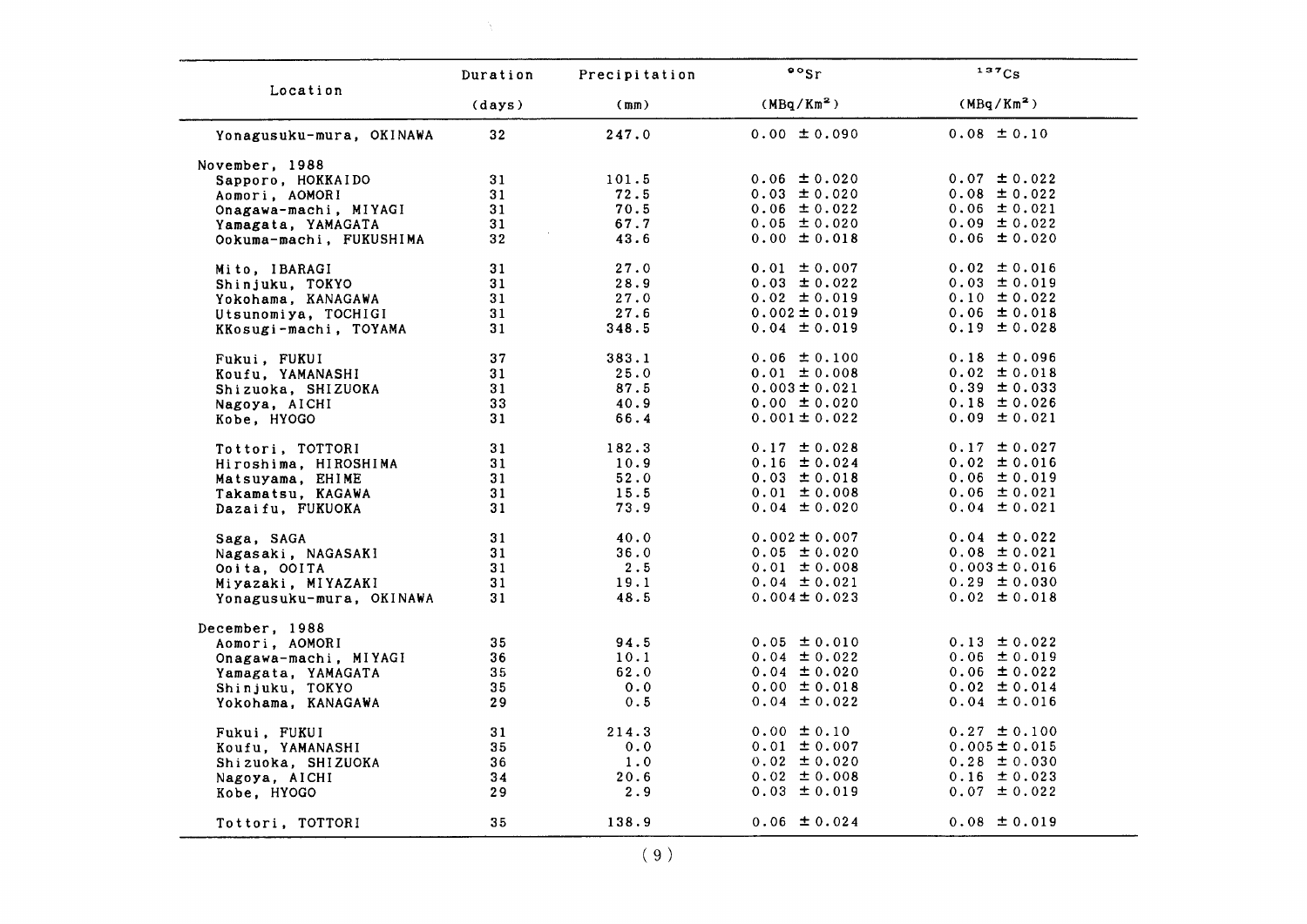|                          | Duration        | Precipitation | $\frac{1}{2}$          | 137Cs                  |
|--------------------------|-----------------|---------------|------------------------|------------------------|
| Location                 | (days)          | (mm)          | (MBq/Km <sup>2</sup> ) | (MBq/Km <sup>2</sup> ) |
| Yonagusuku-mura, OKINAWA | 32 <sub>2</sub> | 247.0         | $0.00 \pm 0.090$       | $0.08 \pm 0.10$        |
| November, 1988           |                 |               |                        |                        |
| Sapporo, HOKKAIDO        | 31              | 101.5         | $0.06 \pm 0.020$       | $0.07 \pm 0.022$       |
| Aomori, AOMORI           | 31              | 72.5          | $0.03 \pm 0.020$       | $0.08 \pm 0.022$       |
| Onagawa-machi, MIYAGI    | 31              | 70.5          | $0.06 \pm 0.022$       | $0.06 \pm 0.021$       |
| Yamagata, YAMAGATA       | 31              | 67.7          | $0.05 \pm 0.020$       | $0.09 \pm 0.022$       |
| Ookuma-machi, FUKUSHIMA  | 32              | 43.6          | $0.00 \pm 0.018$       | $0.06 \pm 0.020$       |
| Mito, IBARAGI            | 31              | 27.0          | $0.01 \pm 0.007$       | $0.02 \pm 0.016$       |
| Shinjuku, TOKYO          | 31              | 28.9          | $0.03 \pm 0.022$       | $0.03 \pm 0.019$       |
| Yokohama, KANAGAWA       | 31              | 27.0          | $0.02 \pm 0.019$       | $0.10 \pm 0.022$       |
| Utsunomiya, TOCHIGI      | 31              | 27.6          | $0.002 \pm 0.019$      | $0.06 \pm 0.018$       |
| KKosugi-machi, TOYAMA    | 31              | 348.5         | $0.04 \pm 0.019$       | $0.19 \pm 0.028$       |
| Fukui, FUKUI             | 37              | 383.1         | $0.06 \pm 0.100$       | $0.18 \pm 0.096$       |
| Koufu, YAMANASHI         | 31              | 25.0          | $0.01 \pm 0.008$       | $0.02 \pm 0.018$       |
| Shizuoka, SHIZUOKA       | 31              | 87.5          | $0.003 \pm 0.021$      | $0.39 \pm 0.033$       |
| Nagoya, AICHI            | 33              | 40.9          | $0.00 \pm 0.020$       | $0.18 \pm 0.026$       |
| Kobe, HYOGO              | 31              | 66.4          | $0.001 \pm 0.022$      | $0.09 \pm 0.021$       |
| Tottori, TOTTORI         | 31              | 182.3         | $0.17 \pm 0.028$       | $0.17 \pm 0.027$       |
| Hiroshima, HIROSHIMA     | 31              | 10.9          | $0.16 \pm 0.024$       | $0.02 \pm 0.016$       |
| Matsuyama, EHIME         | 31              | 52.0          | $0.03 \pm 0.018$       | $0.06 \pm 0.019$       |
| Takamatsu, KAGAWA        | 31              | 15.5          | $0.01 \pm 0.008$       | $0.06 \pm 0.021$       |
| Dazaifu, FUKUOKA         | 31              | 73.9          | $0.04 \pm 0.020$       | $0.04 \pm 0.021$       |
| Saga, SAGA               | 31              | 40.0          | $0.002 \pm 0.007$      | $0.04 \pm 0.022$       |
| Nagasaki, NAGASAKI       | 31              | 36.0          | $0.05 \pm 0.020$       | $0.08 \pm 0.021$       |
| Ooita, OOITA             | 31              | 2.5           | $0.01 \pm 0.008$       | $0.003 \pm 0.016$      |
| Miyazaki, MIYAZAKI       | 31              | 19.1          | $0.04 \pm 0.021$       | $0.29 \pm 0.030$       |
| Yonagusuku-mura, OKINAWA | 31              | 48.5          | $0.004 \pm 0.023$      | $0.02 \pm 0.018$       |
| December, 1988           |                 |               |                        |                        |
| Aomori, AOMORI           | 35              | 94.5          | $0.05 \pm 0.010$       | $0.13 \pm 0.022$       |
| Onagawa-machi, MIYAGI    | 36              | 10.1          | $0.04 \pm 0.022$       | $0.06 \pm 0.019$       |
| Yamagata, YAMAGATA       | 35              | 62.0          | $0.04 \pm 0.020$       | $0.06 \pm 0.022$       |
| Shinjuku, TOKYO          | 35              | 0.0           | $0.00 \pm 0.018$       | $0.02 \pm 0.014$       |
| Yokohama, KANAGAWA       | 29              | 0.5           | $0.04 \pm 0.022$       | $0.04 \pm 0.016$       |
| Fukui, FUKUI             | 31              | 214.3         | $0.00 \pm 0.10$        | $0.27 \pm 0.100$       |
| Koufu, YAMANASHI         | 35              | 0.0           | $0.01 \pm 0.007$       | $0.005 \pm 0.015$      |
| Shizuoka, SHIZUOKA       | 36              | 1.0           | $0.02 \pm 0.020$       | $0.28 \pm 0.030$       |
| Nagoya, AICHI            | 34              | 20.6          | $0.02 \pm 0.008$       | $0.16 \pm 0.023$       |
| Kobe, HYOGO              | 29              | 2.9           | $0.03 \pm 0.019$       | $0.07 \pm 0.022$       |
| Tottori, TOTTORI         | 35              | 138.9         | $0.06 \pm 0.024$       | $0.08 \pm 0.019$       |

 $\mathcal{N} \subset \mathcal{N}$  .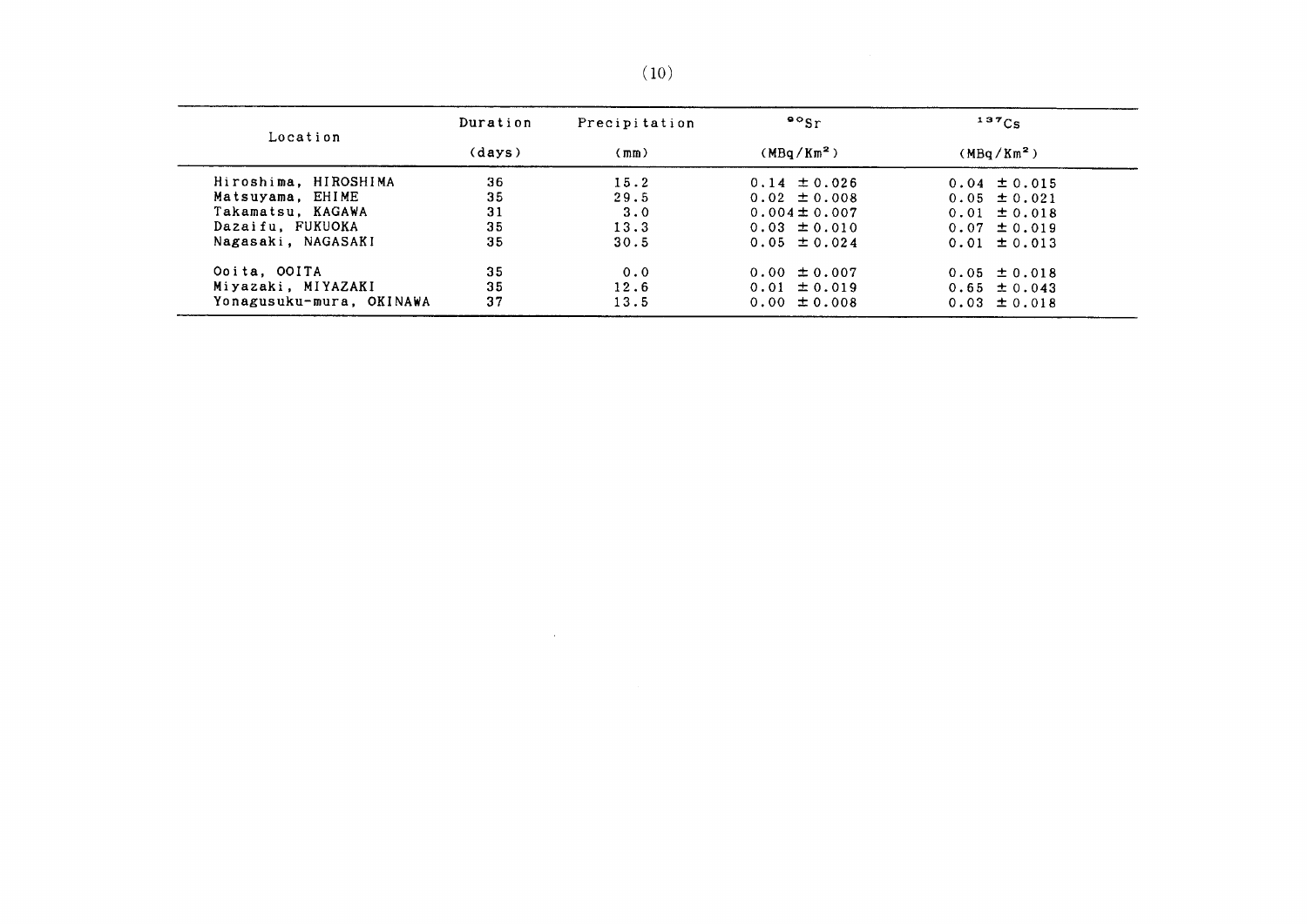| Location                 | Duration | Precipitation | $\frac{90}{5}$         | 137C <sub>S</sub>      |
|--------------------------|----------|---------------|------------------------|------------------------|
|                          | (days)   | (mm)          | (MBa/Km <sup>2</sup> ) | (MBq/Km <sup>2</sup> ) |
| Hiroshima, HIROSHIMA     | 36       | 15.2          | $0.14 \pm 0.026$       | $0.04 \pm 0.015$       |
| Matsuyama, EHIME         | 35       | 29.5          | $0.02 \pm 0.008$       | $0.05 \pm 0.021$       |
| Takamatsu. KAGAWA        | 31       | 3.0           | $0.004 \pm 0.007$      | $0.01 \pm 0.018$       |
| Dazaifu, FUKUOKA         | 35       | 13.3          | $0.03 \pm 0.010$       | $0.07 \pm 0.019$       |
| Nagasaki, NAGASAKI       | 35       | 30.5          | $0.05 \pm 0.024$       | $0.01 \pm 0.013$       |
| Ooita, OOITA             | 35       | 0.0           | $0.00 \pm 0.007$       | $0.05 \pm 0.018$       |
| Miyazaki, MIYAZAKI       | 35       | 12.6          | $0.01 \pm 0.019$       | $0.65 \pm 0.043$       |
| Yonagusuku-mura, OKINAWA | 37       | 13.5          | $0.00 \pm 0.008$       | $0.03 \pm 0.018$       |

 $\label{eq:2.1} \mathcal{L}(\mathcal{L}^{\text{max}}_{\mathcal{L}}(\mathcal{L}^{\text{max}}_{\mathcal{L}})) \leq \mathcal{L}(\mathcal{L}^{\text{max}}_{\mathcal{L}}(\mathcal{L}^{\text{max}}_{\mathcal{L}}))$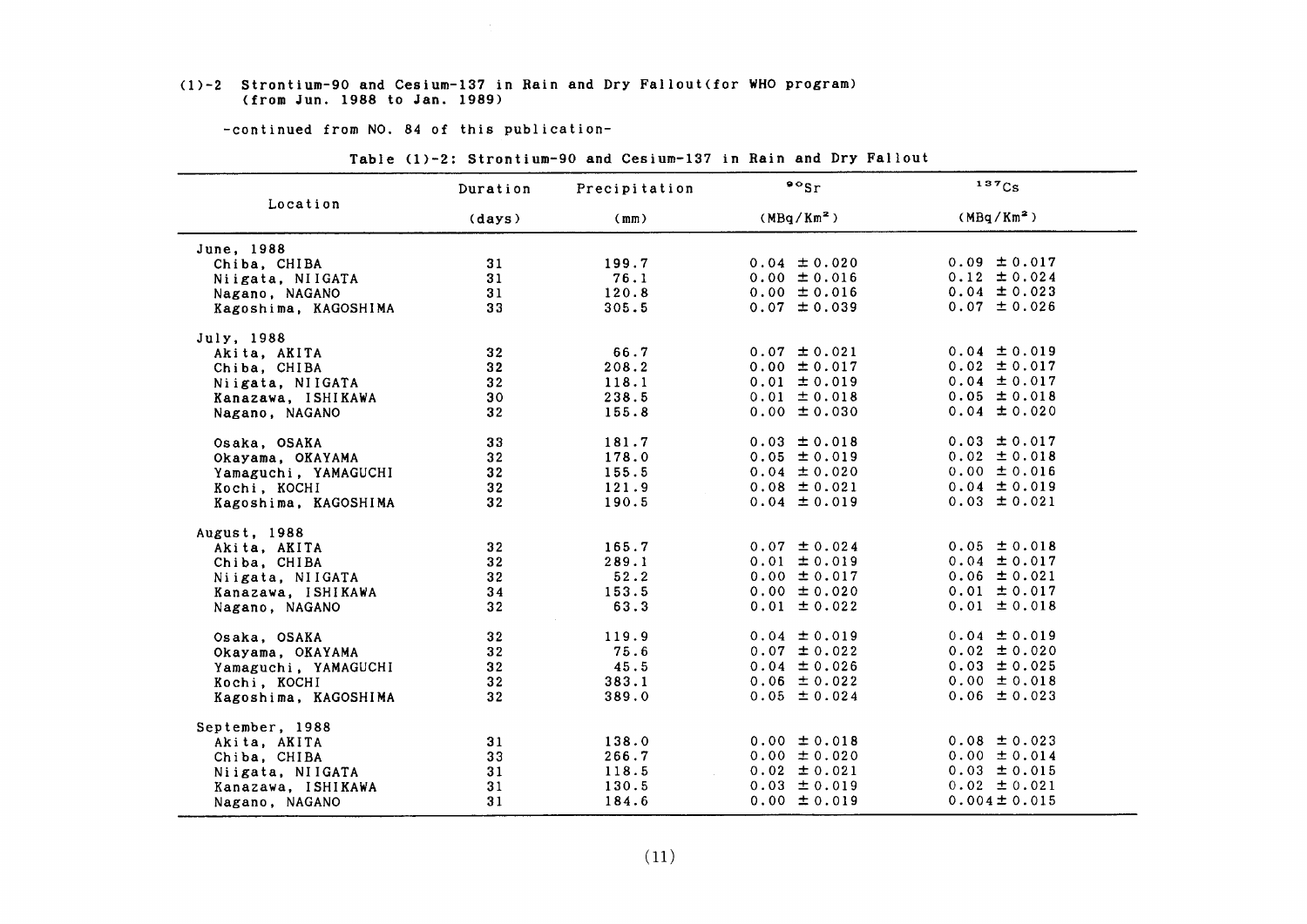#### (1)-2 Strontium-90 and Cesium-137 in Rain and Dry Fallout(for WHO program) (from Jun.1988 to Jan.1989)

-COntinued from NO.84 0f this publication-

|                      | Duration        | Precipitation | $\cdot \cdot$    | 137C <sub>S</sub>      |  |
|----------------------|-----------------|---------------|------------------|------------------------|--|
| Location             | (days)          | (mm)          | $(MBq/Km^2)$     | (MBq/Km <sup>2</sup> ) |  |
| June, 1988           |                 |               |                  |                        |  |
| Chiba, CHIBA         | 31              | 199.7         | $0.04 \pm 0.020$ | $0.09 \pm 0.017$       |  |
| Niigata, NIIGATA     | 31              | 76.1          | $0.00 \pm 0.016$ | $0.12 \pm 0.024$       |  |
| Nagano, NAGANO       | 31              | 120.8         | $0.00 \pm 0.016$ | $0.04 \pm 0.023$       |  |
| Kagoshima, KAGOSHIMA | 33              | 305.5         | $0.07 \pm 0.039$ | $0.07 \pm 0.026$       |  |
|                      |                 |               |                  |                        |  |
| July, 1988           | 32              | 66.7          | $0.07 \pm 0.021$ | $0.04 \pm 0.019$       |  |
| Akita, AKITA         |                 | 208.2         | $0.00 \pm 0.017$ | $0.02 \pm 0.017$       |  |
| Chiba, CHIBA         | 32              | 118.1         | $0.01 \pm 0.019$ | $0.04 \pm 0.017$       |  |
| Niigata, NIIGATA     | 32 <sub>2</sub> |               |                  | $0.05 \pm 0.018$       |  |
| Kanazawa, ISHIKAWA   | 30              | 238.5         | $0.01 \pm 0.018$ | $0.04 \pm 0.020$       |  |
| Nagano, NAGANO       | 32 <sub>2</sub> | 155.8         | $0.00 \pm 0.030$ |                        |  |
| Osaka, OSAKA         | 33              | 181.7         | $0.03 \pm 0.018$ | $0.03 \pm 0.017$       |  |
| Okayama, OKAYAMA     | 32              | 178.0         | $0.05 \pm 0.019$ | $0.02 \pm 0.018$       |  |
| Yamaguchi, YAMAGUCHI | 32 <sub>2</sub> | 155.5         | $0.04 \pm 0.020$ | $0.00 \pm 0.016$       |  |
| Kochi, KOCHI         | 32 <sub>2</sub> | 121.9         | $0.08 \pm 0.021$ | $0.04 \pm 0.019$       |  |
| Kagoshima, KAGOSHIMA | 32 <sub>2</sub> | 190.5         | $0.04 \pm 0.019$ | $0.03 \pm 0.021$       |  |
| August, 1988         |                 |               |                  |                        |  |
| Akita, AKITA         | 32 <sub>2</sub> | 165.7         | $0.07 \pm 0.024$ | $0.05 \pm 0.018$       |  |
| Chiba, CHIBA         | 32 <sub>2</sub> | 289.1         | $0.01 \pm 0.019$ | $0.04 \pm 0.017$       |  |
| Niigata, NIIGATA     | 32              | 52.2          | $0.00 \pm 0.017$ | $0.06 \pm 0.021$       |  |
| Kanazawa, ISHIKAWA   | 34              | 153.5         | $0.00 \pm 0.020$ | $0.01 \pm 0.017$       |  |
| Nagano, NAGANO       | 32              | 63.3          | $0.01 \pm 0.022$ | $0.01 \pm 0.018$       |  |
|                      |                 |               |                  |                        |  |
| Osaka, OSAKA         | 32              | 119.9         | $0.04 \pm 0.019$ | $0.04 \pm 0.019$       |  |
| Okayama, OKAYAMA     | 32 <sub>2</sub> | 75.6          | $0.07 \pm 0.022$ | $0.02 \pm 0.020$       |  |
| Yamaguchi, YAMAGUCHI | 32              | 45.5          | $0.04 \pm 0.026$ | $0.03 \pm 0.025$       |  |
| Kochi, KOCHI         | 32              | 383.1         | $0.06 \pm 0.022$ | $0.00 \pm 0.018$       |  |
| Kagoshima, KAGOSHIMA | 32 <sub>2</sub> | 389.0         | $0.05 \pm 0.024$ | $0.06 \pm 0.023$       |  |
| September, 1988      |                 |               |                  |                        |  |
| Akita, AKITA         | 31              | 138.0         | $0.00 \pm 0.018$ | $0.08 \pm 0.023$       |  |
| Chiba, CHIBA         | 33              | 266.7         | $0.00 \pm 0.020$ | $0.00 \pm 0.014$       |  |
| Niigata, NIIGATA     | 31              | 118.5         | $0.02 \pm 0.021$ | $0.03 \pm 0.015$       |  |
| Kanazawa, ISHIKAWA   | 31              | 130.5         | $0.03 \pm 0.019$ | $0.02 \pm 0.021$       |  |
| Nagano, NAGANO       | 31              | 184.6         | $0.00 \pm 0.019$ | $0.004 \pm 0.015$      |  |
|                      |                 |               |                  |                        |  |

Table (1)-2: Strontium-90 and Cesium-137 in Rain and Dry Fallout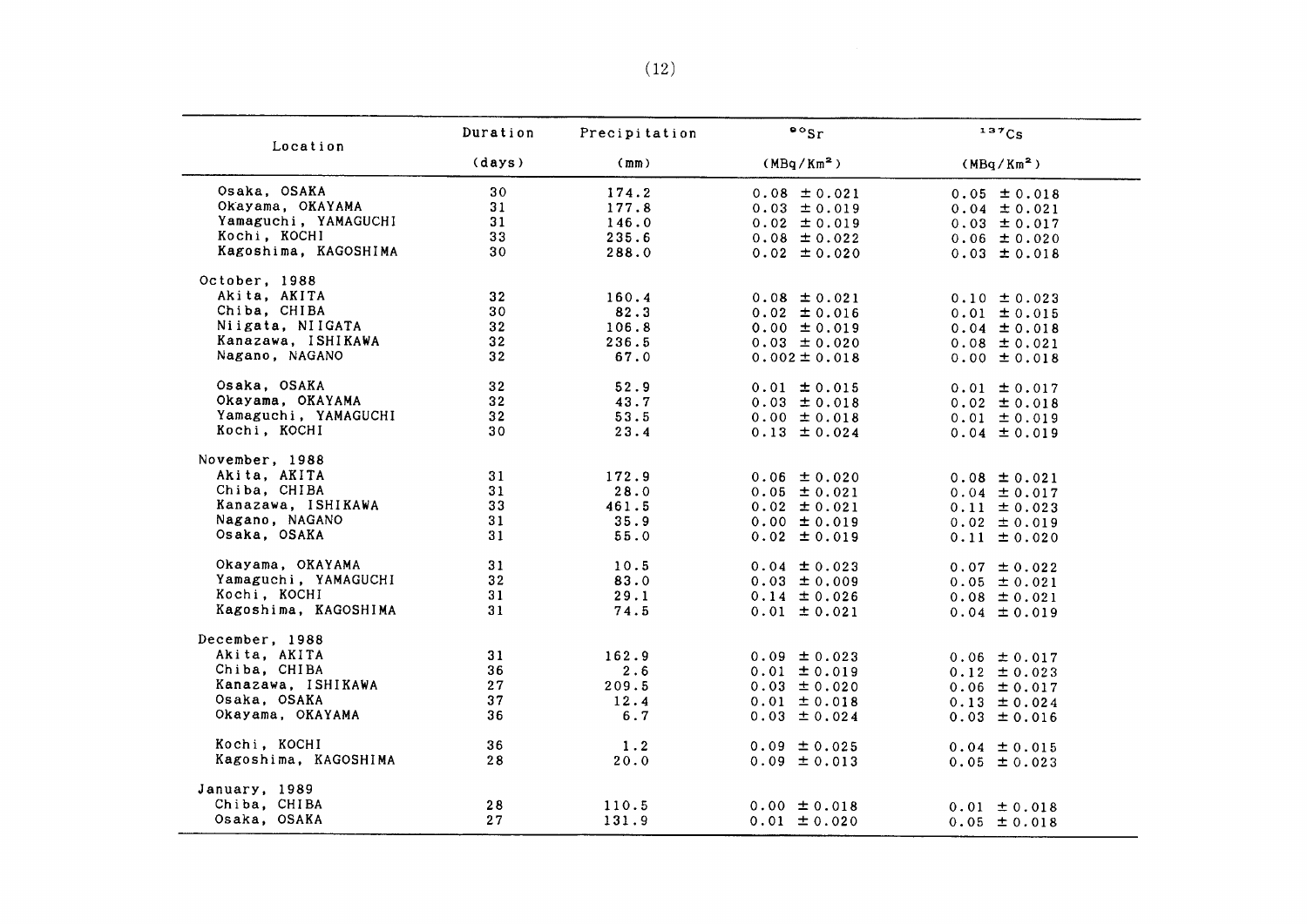| Location             | Duration        | Precipitation | $\circ$ sr             | 137Cs                  |
|----------------------|-----------------|---------------|------------------------|------------------------|
|                      | (days)          | (mm)          | (MBq/Km <sup>2</sup> ) | (MBq/Km <sup>2</sup> ) |
| Osaka, OSAKA         | 30              | 174.2         | $0.08 \pm 0.021$       | $0.05 \pm 0.018$       |
| Okayama, OKAYAMA     | 31              | 177.8         | $0.03 \pm 0.019$       | $0.04 \pm 0.021$       |
| Yamaguchi, YAMAGUCHI | 31              | 146.0         | $0.02 \pm 0.019$       | $0.03 \pm 0.017$       |
| Kochi, KOCHI         | 33              | 235.6         | $0.08 \pm 0.022$       | $0.06 \pm 0.020$       |
| Kagoshima, KAGOSHIMA | 30              | 288.0         | $0.02 \pm 0.020$       | $0.03 \pm 0.018$       |
| October, 1988        |                 |               |                        |                        |
| Akita, AKITA         | 32              | 160.4         | $0.08 \pm 0.021$       | $0.10 \pm 0.023$       |
| Chiba, CHIBA         | 30              | 82.3          | $0.02 \pm 0.016$       | $0.01 \pm 0.015$       |
| Niigata, NIIGATA     | 32 <sub>2</sub> | 106.8         | $0.00 \pm 0.019$       | $0.04 \pm 0.018$       |
| Kanazawa, ISHIKAWA   | 32 <sub>2</sub> | 236.5         | $0.03 \pm 0.020$       | $0.08 \pm 0.021$       |
| Nagano, NAGANO       | 32              | 67.0          | $0.002 \pm 0.018$      | $0.00 \pm 0.018$       |
| Osaka, OSAKA         | 32              | 52.9          | $0.01 \pm 0.015$       | $0.01 \pm 0.017$       |
| Okayama, OKAYAMA     | 32 <sub>2</sub> | 43.7          | $0.03 \pm 0.018$       | $0.02 \pm 0.018$       |
| Yamaguchi, YAMAGUCHI | 32              | 53.5          | $0.00 \pm 0.018$       | $0.01 \pm 0.019$       |
| Kochi, KOCHI         | 30              | 23.4          | $0.13 \pm 0.024$       | $0.04 \pm 0.019$       |
| November, 1988       |                 |               |                        |                        |
| Akita, AKITA         | 31              | 172.9         | $0.06 \pm 0.020$       | $0.08 \pm 0.021$       |
| Chiba, CHIBA         | 31              | 28.0          | $0.05 \pm 0.021$       | $0.04 \pm 0.017$       |
| Kanazawa, ISHIKAWA   | 33              | 461.5         | $0.02 \pm 0.021$       | $0.11 \pm 0.023$       |
| Nagano, NAGANO       | 31              | 35.9          | $0.00 \pm 0.019$       | $0.02 \pm 0.019$       |
| Osaka, OSAKA         | 31              | 55.0          | $0.02 \pm 0.019$       | $0.11 \pm 0.020$       |
|                      |                 |               |                        |                        |
| Okayama, OKAYAMA     | 31              | 10.5          | $0.04 \pm 0.023$       | $0.07 \pm 0.022$       |
| Yamaguchi, YAMAGUCHI | 32 <sub>2</sub> | 83.0          | $0.03 \pm 0.009$       | $0.05 \pm 0.021$       |
| Kochi, KOCHI         | 31              | 29.1          | $0.14 \pm 0.026$       | $0.08 \pm 0.021$       |
| Kagoshima, KAGOSHIMA | 31              | 74.5          | $0.01 \pm 0.021$       | $0.04 \pm 0.019$       |
| December, 1988       |                 |               |                        |                        |
| Akita, AKITA         | 31              | 162.9         | $0.09 \pm 0.023$       | $0.06 \pm 0.017$       |
| Chiba, CHIBA         | 36              | 2.6           | $0.01 \pm 0.019$       | $0.12 \pm 0.023$       |
| Kanazawa, ISHIKAWA   | 27              | 209.5         | $0.03 \pm 0.020$       | $0.06 \pm 0.017$       |
| Osaka, OSAKA         | 37              | 12.4          | $0.01 \pm 0.018$       | $0.13 \pm 0.024$       |
| Okayama, OKAYAMA     | 36              | 6.7           | $0.03 \pm 0.024$       | $0.03 \pm 0.016$       |
| Kochi, KOCHI         | 36              | 1.2           | $0.09 \pm 0.025$       | $0.04 \pm 0.015$       |
| Kagoshima, KAGOSHIMA | 28              | 20.0          | $0.09 \pm 0.013$       | $0.05 \pm 0.023$       |
| January, 1989        |                 |               |                        |                        |
| Chiba, CHIBA         | 28              | 110.5         | $0.00 \pm 0.018$       | $0.01 \pm 0.018$       |
| Osaka, OSAKA         | 27              | 131.9         | $0.01 \pm 0.020$       | $0.05 \pm 0.018$       |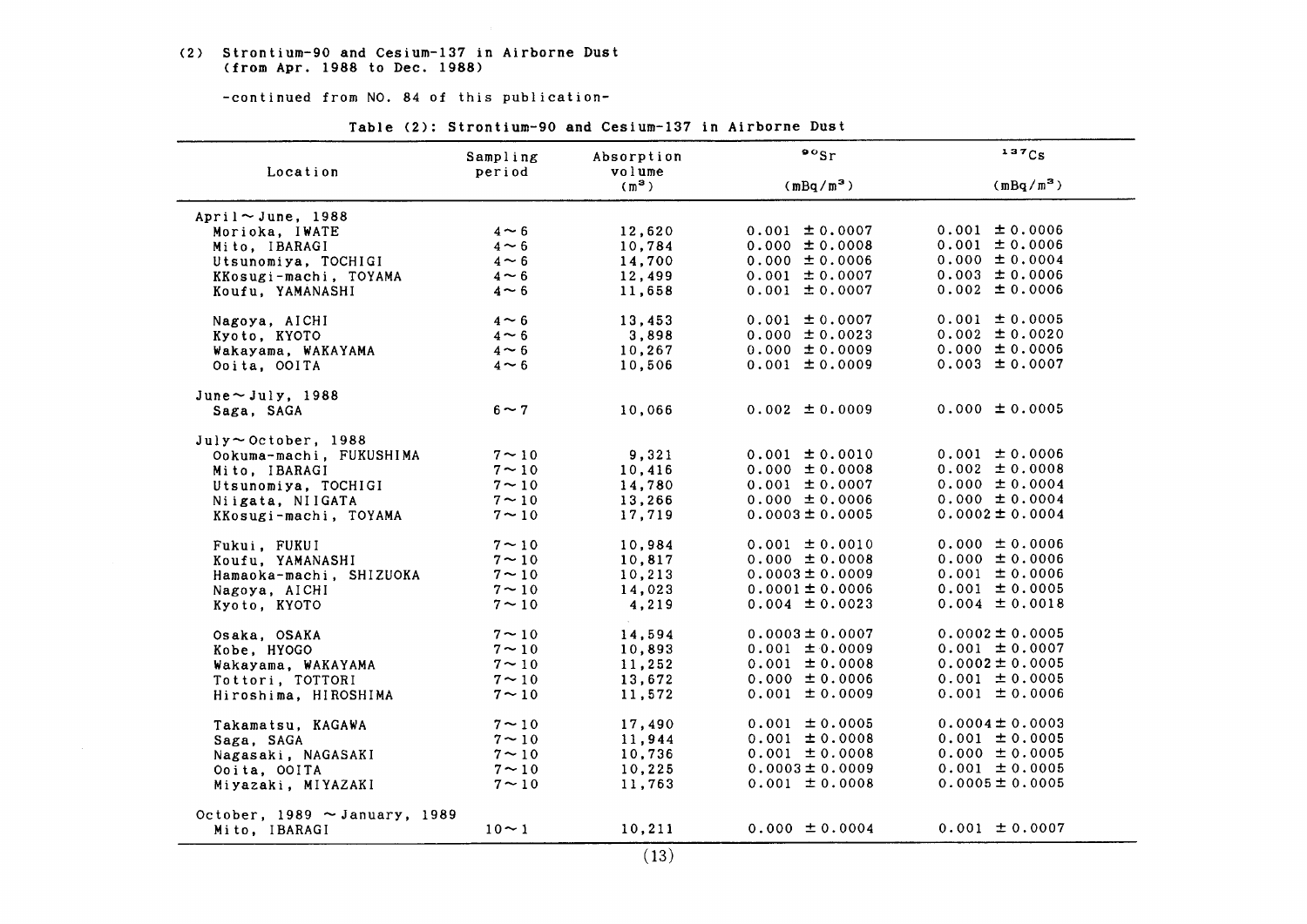(2) Strontium-90 and Cesium-137in Airborne Dust (from Apr.1988 to Dec.1988)

-continued from NO. 84 of this publication-

|                                    | Sampling         | Absorption        | $\bullet \circ$ <sub>Sr</sub> | 137Cs               |
|------------------------------------|------------------|-------------------|-------------------------------|---------------------|
| Location                           | period           | volume<br>$(m^3)$ | $(mBq/m^3)$                   | $(mBq/m^3)$         |
| April $\sim$ June, 1988            |                  |                   |                               |                     |
| Morioka, IWATE                     | $4 \sim 6$       | 12,620            | $0.001 \pm 0.0007$            | $0.001 \pm 0.0006$  |
| Mito, IBARAGI                      | $4 \sim 6$       | 10,784            | $0.000 \pm 0.0008$            | $0.001 \pm 0.0006$  |
| Utsunomiya, TOCHIGI                | $4 \sim 6$       | 14,700            | $0.000 \pm 0.0006$            | $0.000 \pm 0.0004$  |
| KKosugi-machi, TOYAMA              | $4 \sim 6$       | 12,499            | $0.001 \pm 0.0007$            | $0.003 \pm 0.0006$  |
| Koufu, YAMANASHI                   | $4 \sim 6$       | 11,658            | $0.001 \pm 0.0007$            | $0.002 \pm 0.0006$  |
| Nagoya, AICHI                      | $4 \sim 6$       | 13,453            | $0.001 \pm 0.0007$            | $0.001 \pm 0.0005$  |
| Kyoto, KYOTO                       | $4 \sim 6$       | 3,898             | $0.000 \pm 0.0023$            | $0.002 \pm 0.0020$  |
| Wakayama, WAKAYAMA                 | $4 \sim 6$       | 10,267            | $0.000 \pm 0.0009$            | $0.000 \pm 0.0006$  |
| Ooita, OOITA                       | $4 \sim 6$       | 10,506            | $0.001 \pm 0.0009$            | $0.003 \pm 0.0007$  |
| June $\sim$ July, 1988             |                  |                   |                               |                     |
| Saga, SAGA                         | $6 \sim 7$       | 10,066            | $0.002 \pm 0.0009$            | $0.000 \pm 0.0005$  |
| $July \sim October, 1988$          |                  |                   |                               |                     |
| Ookuma-machi, FUKUSHIMA            | $7 \sim 10$      | 9,321             | $0.001 \pm 0.0010$            | $0.001 \pm 0.0006$  |
| Mito, IBARAGI                      | $7 \sim 10$      | 10,416            | $0.000 \pm 0.0008$            | $0.002 \pm 0.0008$  |
| Utsunomiya, TOCHIGI                | $7 - 10$         | 14,780            | $0.001 \pm 0.0007$            | $0.000 \pm 0.0004$  |
| Niigata, NIIGATA                   | $7 \sim 10$      | 13,266            | $0.000 \pm 0.0006$            | $0.000 \pm 0.0004$  |
| KKosugi-machi, TOYAMA              | $7 \sim 10$      | 17,719            | $0.0003 \pm 0.0005$           | $0.0002 \pm 0.0004$ |
| Fukui, FUKUI                       | $7 - 10$         | 10,984            | $0.001 \pm 0.0010$            | $0.000 \pm 0.0006$  |
| Koufu, YAMANASHI                   | $7 \sim 10$      | 10,817            | $0.000 \pm 0.0008$            | $0.000 \pm 0.0006$  |
| Hamaoka-machi, SHIZUOKA            | $7 \sim 10$      | 10,213            | $0.0003 \pm 0.0009$           | $0.001 \pm 0.0006$  |
| Nagoya, AICHI                      | $7 - 10$         | 14,023            | $0.0001 \pm 0.0006$           | $0.001 \pm 0.0005$  |
| Kyoto, KYOTO                       | $7 \sim 10$      | 4,219             | $0.004 \pm 0.0023$            | $0.004 \pm 0.0018$  |
| Osaka, OSAKA                       | $7 - 10$         | 14,594            | $0.0003 \pm 0.0007$           | $0.0002 \pm 0.0005$ |
| Kobe, HYOGO                        | $7 \sim 10$      | 10,893            | $0.001 \pm 0.0009$            | $0.001 \pm 0.0007$  |
| Wakayama, WAKAYAMA                 | $7 \sim 10$      | 11,252            | $0.001 \pm 0.0008$            | $0.0002 \pm 0.0005$ |
| Tottori, TOTTORI                   | $7 \sim 10$      | 13,672            | $0.000 \pm 0.0006$            | $0.001 \pm 0.0005$  |
| Hiroshima, HIROSHIMA               | $7 \sim 10$      | 11,572            | $0.001 \pm 0.0009$            | $0.001 \pm 0.0006$  |
| Takamatsu, KAGAWA                  | $7 \sim 10$      | 17,490            | $0.001 \pm 0.0005$            | $0.0004 \pm 0.0003$ |
| Saga, SAGA                         | $7 \sim 10$      | 11,944            | $0.001 \pm 0.0008$            | $0.001 \pm 0.0005$  |
| Nagasaki, NAGASAKI                 | $7 \sim 10^{-7}$ | 10,736            | $0.001 \pm 0.0008$            | $0.000 \pm 0.0005$  |
| Ooita, OOITA                       | $7 \sim 10$      | 10,225            | $0.0003 \pm 0.0009$           | $0.001 \pm 0.0005$  |
| Miyazaki, MIYAZAKI                 | $7 - 10$         | 11,763            | $0.001 \pm 0.0008$            | $0.0005 \pm 0.0005$ |
| October, $1989 \sim$ January, 1989 |                  |                   |                               |                     |
| Mito, IBARAGI                      | $10 \sim 1$      | 10,211            | $0.000 \pm 0.0004$            | $0.001 \pm 0.0007$  |

Table (2): Strontium-90 and Cesium-137 in Airborne Dust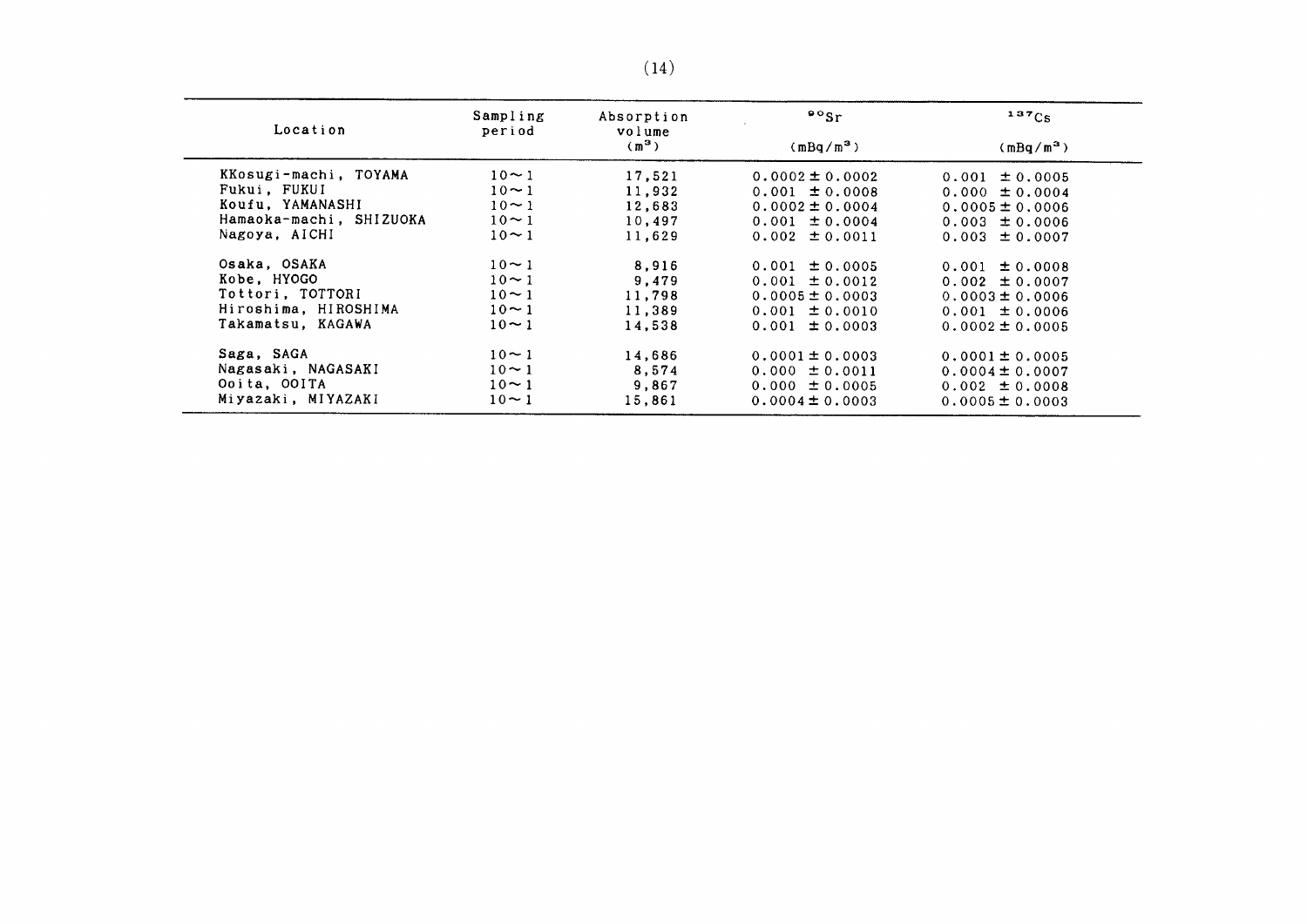| Location                | Sampling<br>period | Absorption<br>volume | $\sim$ sr           | 137C <sub>S</sub>   |
|-------------------------|--------------------|----------------------|---------------------|---------------------|
|                         |                    | (m <sup>3</sup> )    | $(mBq/m^3)$         | $(mBq/m^3)$         |
| KKosugi-machi, TOYAMA   | $10 - 1$           | 17,521               | $0.0002 \pm 0.0002$ | $0.001 \pm 0.0005$  |
| Fukui, FUKUI            | $10 \sim 1$        | 11.932               | $0.001 \pm 0.0008$  | $0.000 \pm 0.0004$  |
| Koufu, YAMANASHI        | $10 - 1$           | 12,683               | $0.0002 \pm 0.0004$ | $0.0005 \pm 0.0006$ |
| Hamaoka-machi, SHIZUOKA | $10 \sim 1$        | 10,497               | $0.001 \pm 0.0004$  | $0.003 \pm 0.0006$  |
| Nagoya, AICHI           | $10 \sim 1$        | 11.629               | $0.002 \pm 0.0011$  | $0.003 \pm 0.0007$  |
| Osaka, OSAKA            | $10 - 1$           | 8.916                | $0.001 \pm 0.0005$  | $0.001 \pm 0.0008$  |
| Kobe, HYOGO             | $10 \sim 1$        | 9,479                | $0.001 \pm 0.0012$  | $0.002 \pm 0.0007$  |
| Tottori, TOTTORI        | $10 - 1$           | 11,798               | $0.0005 \pm 0.0003$ | $0.0003 \pm 0.0006$ |
| Hiroshima, HIROSHIMA    | $10 \sim 1$        | 11,389               | $0.001 \pm 0.0010$  | $0.001 \pm 0.0006$  |
| Takamatsu, KAGAWA       | $10 \sim 1$        | 14.538               | $0.001 \pm 0.0003$  | $0.0002 \pm 0.0005$ |
| Saga, SAGA              | $10 - 1$           | 14,686               | $0.0001 \pm 0.0003$ | $0.0001 \pm 0.0005$ |
| Nagasaki, NAGASAKI      | $10 \sim 1$        | 8.574                | $0.000 \pm 0.0011$  | $0.0004 \pm 0.0007$ |
| Ooita, OOITA            | $10 \sim 1$        | 9,867                | $0.000 \pm 0.0005$  | $0.002 \pm 0.0008$  |
| Miyazaki, MIYAZAKI      | $10 \sim 1$        | 15,861               | $0.0004 \pm 0.0003$ | $0.0005 \pm 0.0003$ |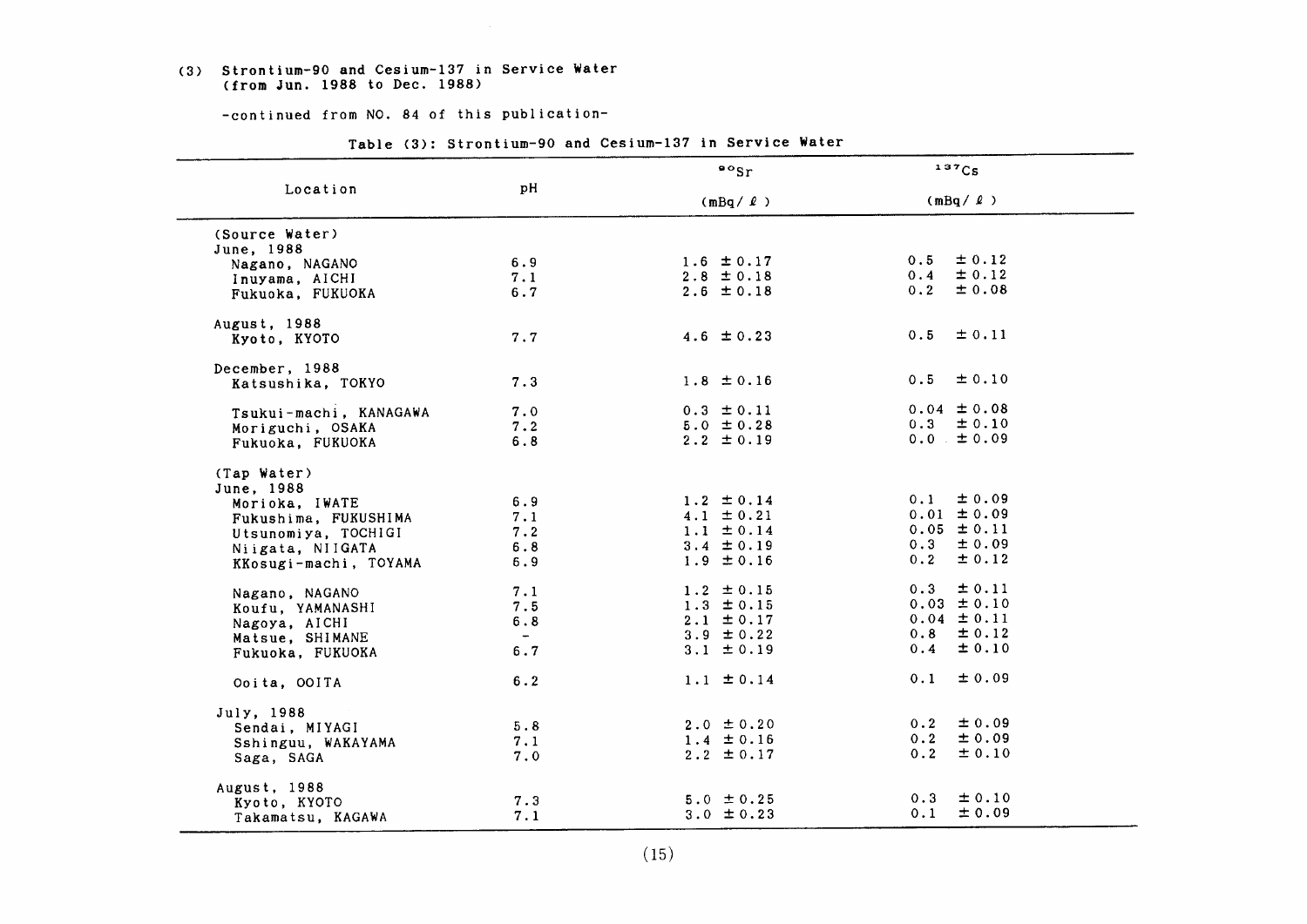#### (3) Strontium-90 and Cesium-137 in Service Water (fromJun.1988 to Dec.1988)

-continued from NO. 84 of this publication-

|                        |       | $\frac{80}{5}$ | 137Cs                             |
|------------------------|-------|----------------|-----------------------------------|
| Location               | pH    | $(mBq / \ell)$ | $(mBq / \ell)$                    |
| (Source Water)         |       |                |                                   |
| June, 1988             |       |                |                                   |
| Nagano, NAGANO         | 6.9   | $1.6 \pm 0.17$ | $\pm$ 0.12<br>0.5                 |
| Inuyama, AICHI         | 7.1   | $2.8 \pm 0.18$ | $\pm$ 0.12<br>0.4                 |
| Fukuoka, FUKUOKA       | 6.7   | $2.6 \pm 0.18$ | ± 0.08<br>0.2                     |
| August, 1988           |       |                |                                   |
| Kyoto, KYOTO           | 7.7   | $4.6 \pm 0.23$ | $\pm 0.11$<br>0.5                 |
| December, 1988         |       |                |                                   |
| Katsushika, TOKYO      | 7.3   | $1.8 \pm 0.16$ | ± 0.10<br>0.5                     |
| Tsukui-machi, KANAGAWA | 7.0   | $0.3 \pm 0.11$ | $0.04 \pm 0.08$                   |
| Moriguchi, OSAKA       | 7.2   | $5.0 \pm 0.28$ | $0.3 \pm 0.10$                    |
| Fukuoka, FUKUOKA       | 6.8   | $2.2 \pm 0.19$ | $0.0 \pm 0.09$                    |
| (Tap Water)            |       |                |                                   |
| June, 1988             |       |                | $\pm$ 0.09<br>0.1                 |
| Morioka, IWATE         | 6.9   | $1.2 \pm 0.14$ | $0.01 \pm 0.09$                   |
| Fukushima, FUKUSHIMA   | 7.1   | $4.1 \pm 0.21$ |                                   |
| Utsunomiya, TOCHIGI    | 7.2   | $1.1 \pm 0.14$ | $0.05 \pm 0.11$<br>$0.3 \pm 0.09$ |
| Niigata, NIIGATA       | 6.8   | $3.4 \pm 0.19$ |                                   |
| KKosugi-machi, TOYAMA  | 6.9   | $1.9 \pm 0.16$ | $\pm$ 0.12<br>0.2                 |
| Nagano, NAGANO         | 7.1   | $1.2 \pm 0.15$ | $\pm$ 0.11<br>0.3                 |
| Koufu, YAMANASHI       | 7.5   | $1.3 \pm 0.15$ | $0.03 \pm 0.10$                   |
| Nagoya, AICHI          | 6.8   | $2.1 \pm 0.17$ | $0.04 \pm 0.11$                   |
| Matsue, SHIMANE        | $ \,$ | $3.9 \pm 0.22$ | $0.8 \pm 0.12$                    |
| Fukuoka, FUKUOKA       | 6.7   | 3.1 $\pm$ 0.19 | $0.4 \pm 0.10$                    |
| Ooita, OOITA           | 6.2   | $1.1 \pm 0.14$ | $\pm 0.09$<br>0.1                 |
| July, 1988             |       |                |                                   |
| Sendai, MIYAGI         | 5.8   | $2.0 \pm 0.20$ | ± 0.09<br>0.2                     |
| Sshinguu, WAKAYAMA     | 7.1   | $1.4 \pm 0.16$ | ±0.09<br>0.2                      |
| Saga, SAGA             | 7.0   | $2.2 \pm 0.17$ | 0.2<br>$\pm 0.10$                 |
| August, 1988           |       |                |                                   |
| Kyoto, KYOTO           | 7.3   | $5.0 \pm 0.25$ | $\pm 0.10$<br>0.3                 |
| Takamatsu, KAGAWA      | 7.1   | $3.0 \pm 0.23$ | ± 0.09<br>0.1                     |

Table (3): Strontium-90 and Cesium-137 in Service Water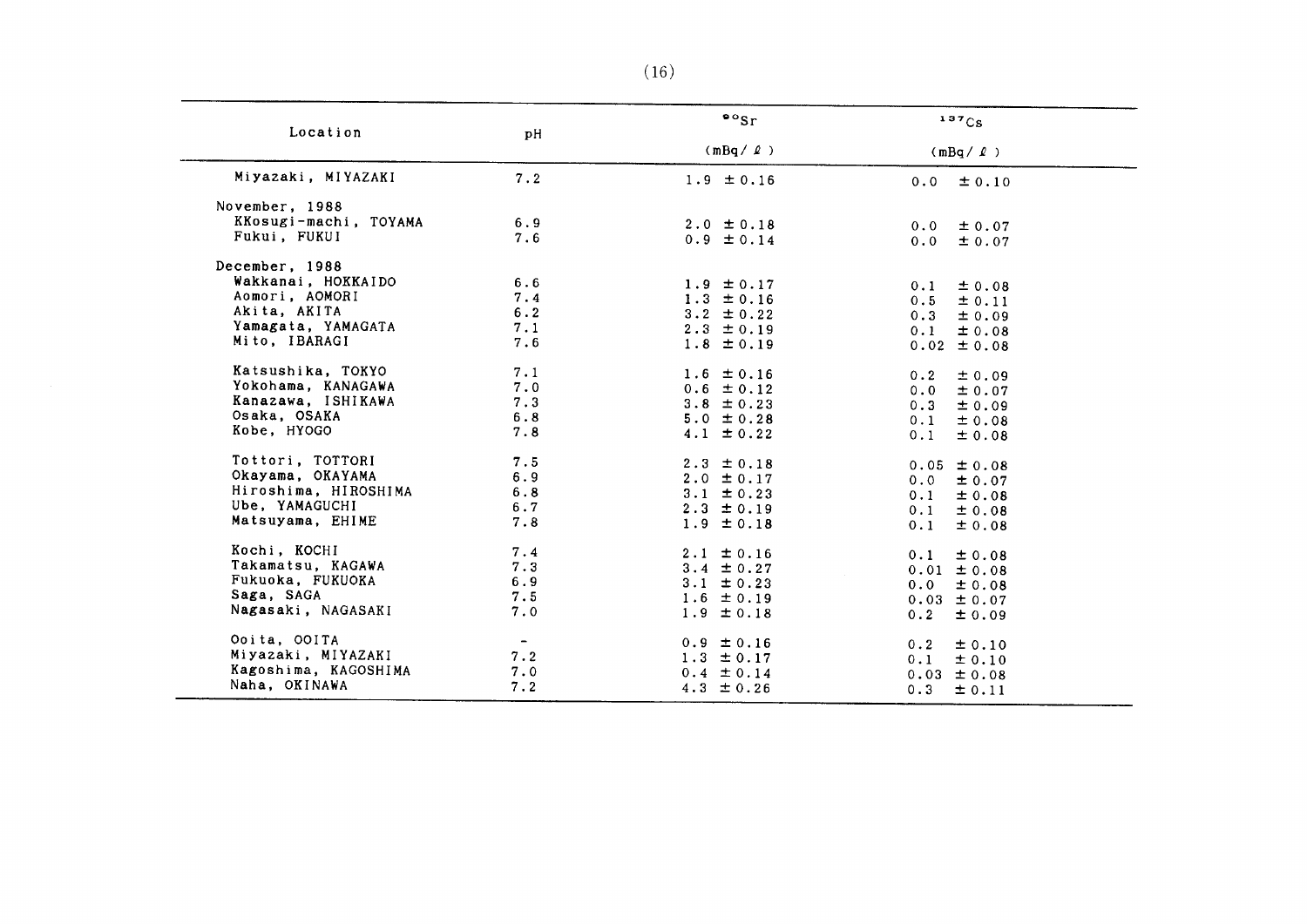| Location              | pH                       | $\frac{80}{5}$ | 137Cs                     |
|-----------------------|--------------------------|----------------|---------------------------|
|                       |                          | $(mBq / \ell)$ | $(mBq / \ell)$            |
| Miyazaki, MIYAZAKI    | 7.2                      | $1.9 \pm 0.16$ | $0.0 \pm 0.10$            |
| November, 1988        |                          |                |                           |
| KKosugi-machi, TOYAMA | 6.9                      | $2.0 \pm 0.18$ | 0.0<br>$\pm 0.07$         |
| Fukui, FUKUI          | 7.6                      | $0.9 \pm 0.14$ | 0.0<br>$\pm 0.07$         |
| December, 1988        |                          |                |                           |
| Wakkanai, HOKKAIDO    | 6.6                      | $1.9 \pm 0.17$ | ± 0.08<br>0.1             |
| Aomori, AOMORI        | 7.4                      | $1.3 \pm 0.16$ | $0.5 \pm 0.11$            |
| Akita, AKITA          | 6.2                      | $3.2 \pm 0.22$ | 0.3<br>$\pm$ 0.09         |
| Yamagata, YAMAGATA    | 7.1                      | $2.3 \pm 0.19$ | 0.1<br>± 0.08             |
| Mito, IBARAGI         | 7.6                      | $1.8 \pm 0.19$ | $0.02 \pm 0.08$           |
|                       |                          |                |                           |
| Katsushika, TOKYO     | 7.1                      | $1.6 \pm 0.16$ | 0.2<br>$\pm 0.09$         |
| Yokohama, KANAGAWA    | 7.0                      | $0.6 \pm 0.12$ | $0.0 \pm 0.07$            |
| Kanazawa, ISHIKAWA    | 7.3                      | $3.8 \pm 0.23$ | 0.3<br>$\pm 0.09$         |
| Osaka, OSAKA          | 6.8                      | $5.0 \pm 0.28$ | 0.1<br>$\pm 0.08$         |
| Kobe, HYOGO           | 7.8                      | $4.1 \pm 0.22$ | 0.1<br>$\pm 0.08$         |
| Tottori, TOTTORI      | 7.5                      | $2.3 \pm 0.18$ | $0.05 \pm 0.08$           |
| Okayama, OKAYAMA      | 6.9                      | $2.0 \pm 0.17$ | $0.0 \pm 0.07$            |
| Hiroshima, HIROSHIMA  | 6.8                      | $3.1 \pm 0.23$ | 0.1<br>± 0.08             |
| Ube, YAMAGUCHI        | 6.7                      | $2.3 \pm 0.19$ | 0.1<br>± 0.08             |
| Matsuyama, EHIME      | 7.8                      | $1.9 \pm 0.18$ | 0.1<br>$\pm 0.08$         |
| Kochi, KOCHI          | 7.4                      | $2.1 \pm 0.16$ | 0.1<br>± 0.08             |
| Takamatsu, KAGAWA     | 7.3                      | $3.4 \pm 0.27$ | $0.01 \pm 0.08$           |
| Fukuoka, FUKUOKA      | 6.9                      | $3.1 \pm 0.23$ | 0.0<br>$\pm 0.08$         |
| Saga, SAGA            | 7.5                      | $1.6 \pm 0.19$ | $0.03 \pm 0.07$           |
| Nagasaki, NAGASAKI    | 7.0                      | $1.9 \pm 0.18$ | 0.2<br>± 0.09             |
| Ooita, OOITA          | $\overline{\phantom{0}}$ | $0.9 \pm 0.16$ | 0.2<br>$\pm 0.10$         |
| Miyazaki, MIYAZAKI    | 7.2                      | $1.3 \pm 0.17$ | 0.1                       |
| Kagoshima, KAGOSHIMA  | 7.0                      | $0.4 \pm 0.14$ | ± 0.10<br>$0.03 \pm 0.08$ |
| Naha, OKINAWA         | 7.2                      | 4.3 $\pm 0.26$ | 0.3<br>$\pm$ 0.11         |

 $\overline{\phantom{a}}$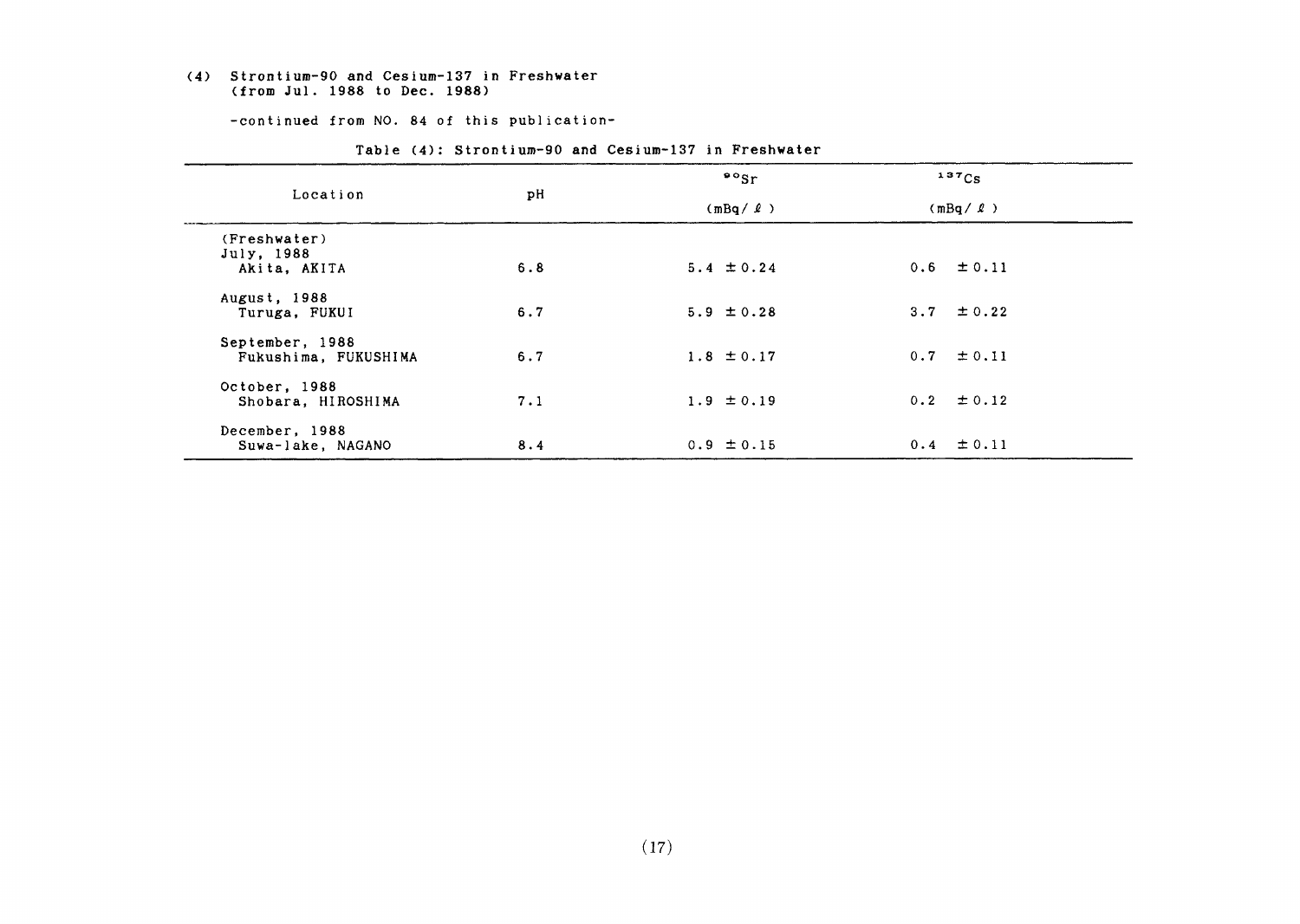#### (4) Strontium-90 and Cesium-137 in Freshwater (from Jul. 1988 to Dec. 1988)

-continued from NO. 84 of this publication-

|                      |     | $\cdot$ $\cdot$ sr | 137Cs          |
|----------------------|-----|--------------------|----------------|
| Location             | pH  | $(mBq / \ell)$     | $(mBq / \ell)$ |
| (Freshwater)         |     |                    |                |
| July, 1988           |     |                    |                |
| Akita, AKITA         | 6.8 | $5.4 \pm 0.24$     | $0.6 \pm 0.11$ |
| August, 1988         |     |                    |                |
| Turuga, FUKUI        | 6.7 | $5.9 \pm 0.28$     | 3.7 $\pm$ 0.22 |
| September, 1988      |     |                    |                |
| Fukushima, FUKUSHIMA | 6.7 | $1.8 \pm 0.17$     | $0.7 \pm 0.11$ |
|                      |     |                    |                |
| October, 1988        |     |                    |                |
| Shobara, HIROSHIMA   | 7.1 | $1.9 \pm 0.19$     | $0.2 \pm 0.12$ |
|                      |     |                    |                |
| December, 1988       |     | $0.9 \pm 0.15$     | $0.4 \pm 0.11$ |
| Suwa-lake, NAGANO    | 8.4 |                    |                |

Table (4): Strontium-90 and Cesium-137 in Freshwater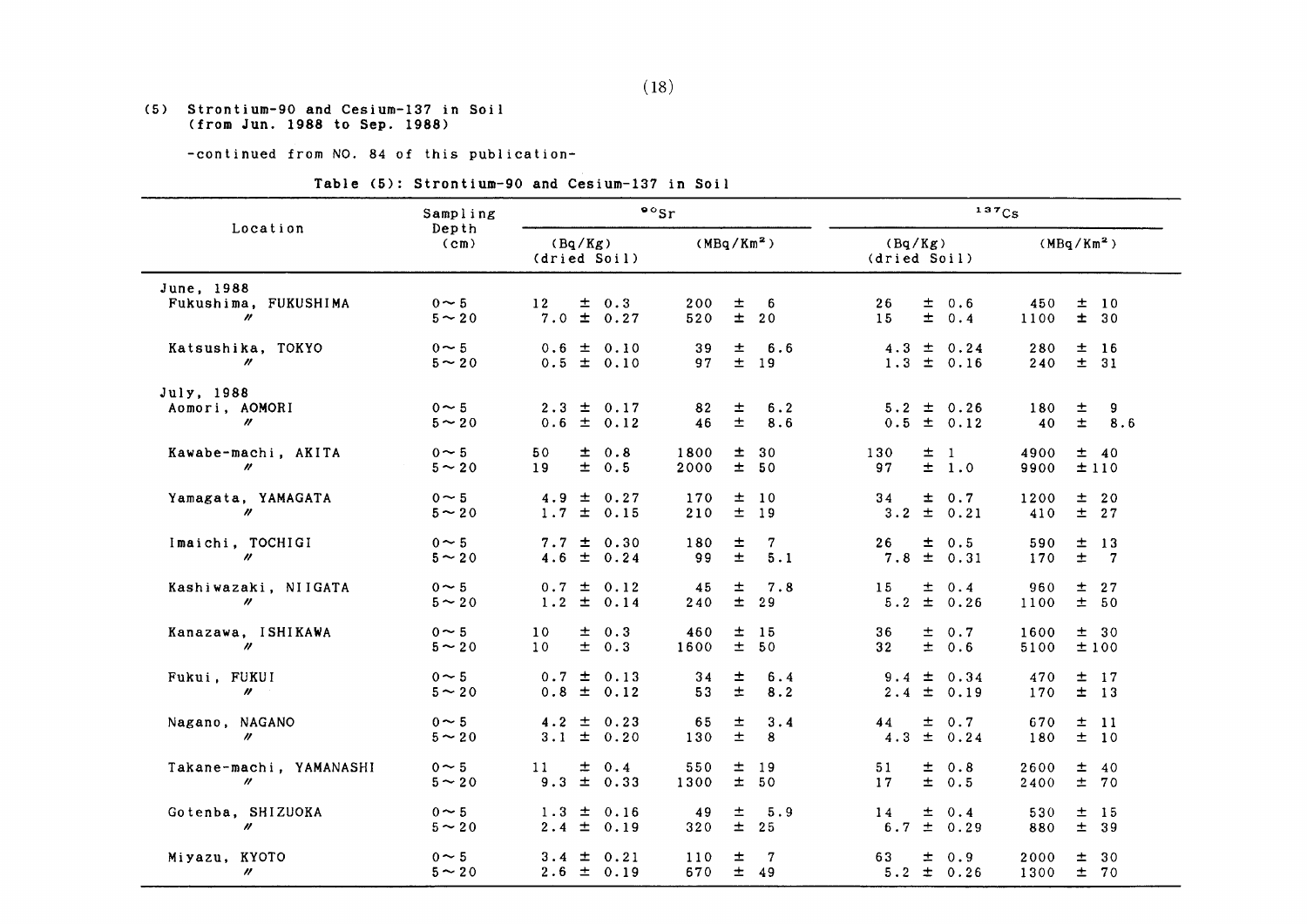#### (5) Strontium-90 &nd Cesiun-137in Soil (fromJun.1988 to Sep.1988)

-continued from NO. 84 of this publication-

#### Table (5): Strontium-90 and Cesium-137 in Soil

| Sampling                                                    |                           |                                    |         |                                  | $\cdot$ $\cdot$ sr |                |              | 137Cs                                   |             |              |                                      |  |
|-------------------------------------------------------------|---------------------------|------------------------------------|---------|----------------------------------|--------------------|----------------|--------------|-----------------------------------------|-------------|--------------|--------------------------------------|--|
| Location<br>(cm)                                            | Depth                     |                                    | (Bq/Kg) | (dried Soil)                     |                    |                | $(MBq/Km^2)$ | (Bq/Kg)<br>(dried Soil)                 |             |              | (MBq/Km <sup>2</sup> )               |  |
| June, 1988<br>Fukushima, FUKUSHIMA<br>$\prime\prime$        | $0 \sim 5$<br>$5 - 20$    | 12                                 |         | $\pm$ 0.3<br>$7.0 \pm 0.27$      | 200<br>520         | 士<br>$\pm$     | 6<br>20      | 26<br>$\pm$ 0.6<br>$\pm$<br>15          | 0.4         | 450<br>1100  | ±10<br>$\pm$<br>30                   |  |
| Katsushika, TOKYO<br>$\prime\prime$                         | $0 \sim 5$<br>$5 - 20$    |                                    |         | $0.6 \pm 0.10$<br>$0.5 \pm 0.10$ | 39<br>97           | $\pm$<br>$\pm$ | 6.6<br>19    | 4.3<br>土<br>$1.3 \pm 0.16$              | 0.24        | 280<br>240   | 士<br>- 16<br>± 31                    |  |
| July, 1988<br>Aomori, AOMORI<br>$\boldsymbol{\prime\prime}$ | $0 \sim 5$<br>$5 \sim 20$ |                                    |         | $2.3 \pm 0.17$<br>$0.6 \pm 0.12$ | 82<br>46           | ±,<br>$\pm$    | 6.2<br>8.6   | $5.2 \pm 0.26$<br>0.5<br>$\pm$ 0.12     |             | 180<br>40    | 士<br>9<br>$\pm$<br>8.6               |  |
| Kawabe-machi, AKITA<br>$\prime\prime$                       | $0 \sim 5$<br>$5 \sim 20$ | 50<br>19                           | ±.      | 0.8<br>± 0.5                     | 1800<br>2000       | 士<br>±.        | 30<br>50     | 土<br>130<br>$\mathbf{1}$<br>$\pm$<br>97 | 1.0         | 4900<br>9900 | ± 40<br>±110                         |  |
| Yamagata, YAMAGATA<br>$\boldsymbol{\prime\prime}$           | $0 \sim 5$<br>$5 \sim 20$ | $4.9 \pm$                          |         | 0.27<br>$1.7 \pm 0.15$           | 170<br>210         | 士<br>士         | 10<br>19     | 34<br>士<br>$\pm$ 0.21<br>3.2            | 0.7         | 1200<br>410  | 士<br>20<br>$\pm$<br>27               |  |
| Imaichi, TOCHIGI<br>$\prime\prime$                          | $0 \sim 5$<br>$5 - 20$    |                                    |         | $7.7 \pm 0.30$<br>$4.6 \pm 0.24$ | 180<br>99          | $\pm$<br>$\pm$ | 7<br>5.1     | 26<br>$\pm$ 0.5<br>7.8<br>$\pm 0.31$    |             | 590<br>170   | 土<br>13<br>$\pm$<br>7                |  |
| Kashiwazaki, NIIGATA<br>$\prime\prime$                      | $0 \sim 5$<br>$5 \sim 20$ |                                    |         | $0.7 \pm 0.12$<br>$1.2 \pm 0.14$ | 45<br>240          | 士<br>$\pm$     | 7.8<br>29    | 15<br>土<br>$\pm$ 0.26<br>5.2            | 0.4         | 960<br>1100  | 士<br>27<br>± 50                      |  |
| Kanazawa, ISHIKAWA<br>$\boldsymbol{\prime\prime}$           | $0 \sim 5$<br>$5 - 20$    | 10 <sup>°</sup><br>10 <sup>°</sup> |         | $\pm$ 0.3<br>$\pm$ 0.3           | 460<br>1600        | ±<br>士         | 15<br>50     | 36<br>士<br>$\pm$<br>32                  | 0.7<br>0.6  | 1600<br>5100 | ± 30<br>$\pm$ 100                    |  |
| Fukui, FUKUI<br>$\prime\prime$                              | $0 \sim 5$<br>$5 \sim 20$ | $0.8 \pm$                          |         | $0.7 \pm 0.13$<br>0.12           | 34<br>53           | 士<br>$\pm$     | 6.4<br>8.2   | $\pm$<br>9.4<br>± 0.19<br>2.4           | 0.34        | 470<br>170   | 士<br><sup>17</sup><br>±<br><b>13</b> |  |
| Nagano, NAGANO<br>$\prime\prime$                            | $0 \sim 5$<br>$5 \sim 20$ |                                    |         | $4.2 \pm 0.23$<br>$3.1 \pm 0.20$ | 65<br>130          | 士<br>$\pm$     | 3.4<br>8     | $\pm 0.7$<br>44<br>$\pm$ 0.24<br>4.3    |             | 670<br>180   | 土<br>$\overline{11}$<br>士<br>10      |  |
| Takane-machi, YAMANASHI<br>$^{\prime\prime}$                | $0 \sim 5$<br>$5 \sim 20$ | 11                                 | $\pm$   | 0.4<br>$9.3 \pm 0.33$            | 550<br>1300        | 土<br>$\pm$     | 19<br>50     | 土<br>51<br>$\pm$<br>17                  | 0.8<br>0.5  | 2600<br>2400 | 土<br>40<br>$\pm$<br>70               |  |
| Gotenba, SHIZUOKA<br>$\prime\prime$                         | $0 \sim 5$<br>$5 \sim 20$ | $2.4 \pm$                          |         | $1.3 \pm 0.16$<br>0.19           | 49<br>320          | 士<br>$\pm$     | 5.9<br>25    | 14<br>士<br>$\pm$<br>6.7                 | 0.4<br>0.29 | 530<br>880   | 土<br>- 15<br>$±$ 39                  |  |
| Miyazu, KYOTO<br>$\prime\prime$                             | $0 \sim 5$<br>$5 \sim 20$ |                                    |         | $3.4 \pm 0.21$<br>$2.6 \pm 0.19$ | 110<br>670         | 士<br>$\pm$     | 7<br>49      | 63<br>土<br>$5.2 \pm 0.26$               | 0.9         | 2000<br>1300 | 土<br>30<br>士<br>70                   |  |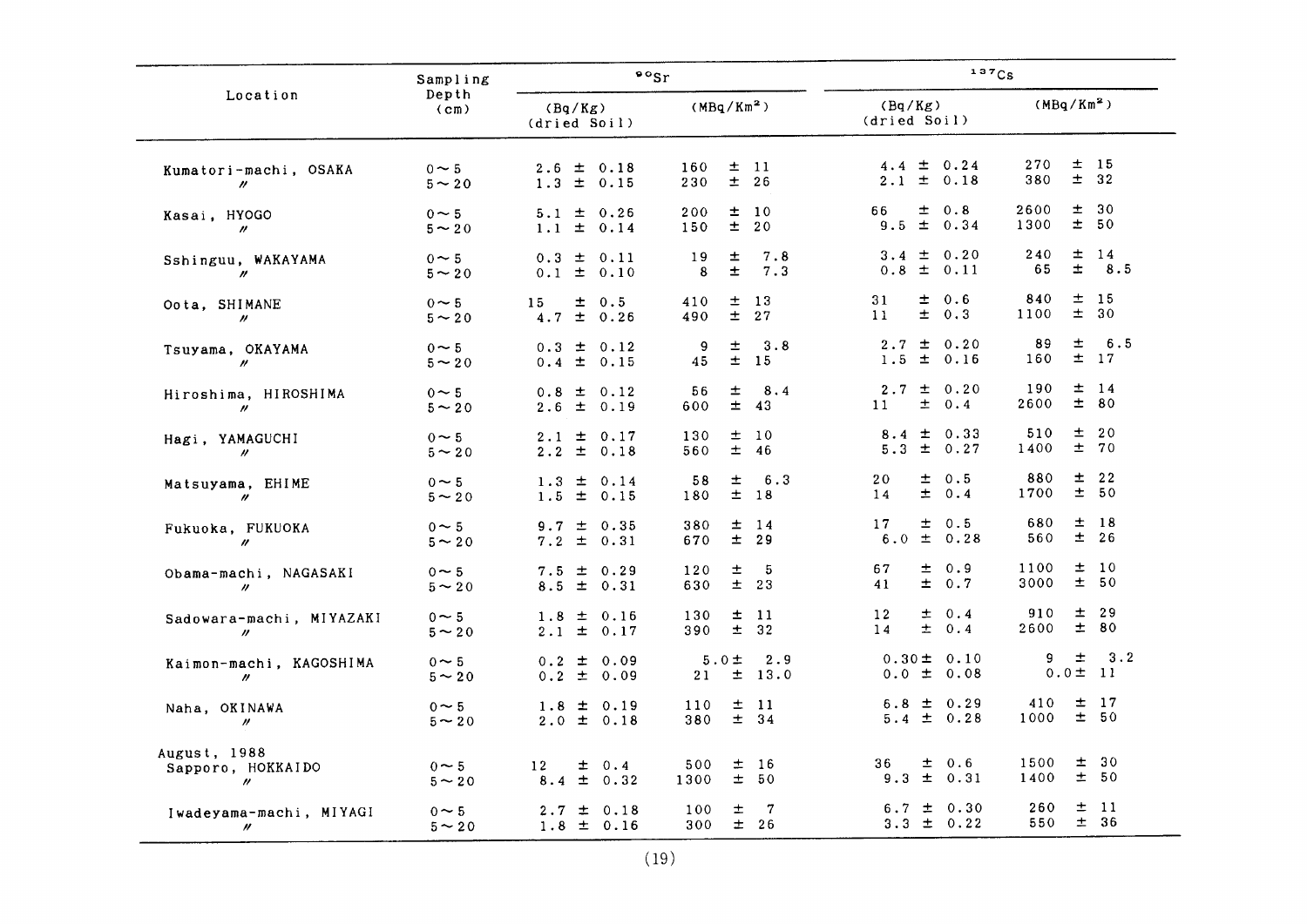|                                                     | Sampling                   | $\frac{80}{5}$                                       |                                                   | 137Cs                                     |                                         |  |  |  |
|-----------------------------------------------------|----------------------------|------------------------------------------------------|---------------------------------------------------|-------------------------------------------|-----------------------------------------|--|--|--|
| Location                                            | Depth<br>(c <sub>m</sub> ) | (Bq/Kg)<br>(dried Soil)                              | (MBa/Km <sup>2</sup> )                            | (Bq/Kg)<br>(dried Soil)                   | (MBq/Km <sup>2</sup> )                  |  |  |  |
| Kumatori-machi, OSAKA<br>$^{\prime\prime}$          | $0 \sim 5$<br>$5 - 20$     | $2.6 \pm 0.18$<br>1.3<br>$\pm$ 0.15                  | 土<br>160<br>- 11<br>$±$ 26<br>230                 | $4.4 \pm 0.24$<br>$2.1 \pm 0.18$          | $\pm$ 15<br>270<br>$\pm$<br>32<br>380   |  |  |  |
| Kasai, HYOGO<br>$\prime\prime$                      | $0 \sim 5$<br>$5 \sim 20$  | $\pm$ 0.26<br>5.1<br>$\pm$<br>1.1<br>0.14            | 10<br>200<br>士<br>$\pm$<br>20<br>150              | $\pm 0.8$<br>66<br>$9.5 \pm 0.34$         | 2600<br>±.<br>30<br>士<br>1300<br>50     |  |  |  |
| Sshinguu, WAKAYAMA<br>$\prime\prime$                | $0 \sim 5$<br>$5 - 20$     | $0.3 \pm 0.11$<br>$0.1 \pm 0.10$                     | 7.8<br>19<br>土<br>士<br>7.3<br>8                   | $3.4 \pm 0.20$<br>$0.8 \pm 0.11$          | 士<br>240<br>14<br>Ŧ.<br>8.5<br>65       |  |  |  |
| Oota, SHIMANE<br>$^{\prime\prime}$                  | $0 \sim 5$<br>$5 \sim 20$  | 土<br>0.5<br>15<br>4.7<br>士<br>0.26                   | 士<br>13<br>410<br>27<br>士<br>490                  | 士<br>0.6<br>31<br>$\pm$<br>0.3<br>11      | 士<br>-15<br>840<br>士<br>1100<br>30      |  |  |  |
| Tsuyama, OKAYAMA<br>$\prime\prime$                  | $0 \sim 5$<br>$5 \sim 20$  | $0.3 \pm$<br>0.12<br>0.4<br>$\pm$<br>0.15            | 3.8<br>士<br>9<br>$\pm$<br><sup>15</sup><br>45     | $2.7 \pm$<br>0.20<br>$\pm$<br>1.5<br>0.16 | 6.5<br>89<br>士<br>$±$ 17<br>160         |  |  |  |
| Hiroshima, HIROSHIMA<br>$\prime\prime$              | $0 \sim 5$<br>$5 - 20$     | $0.8 \pm$<br>0.12<br>2.6<br>$\pm$ 0.19               | 土<br>8.4<br>56<br>土<br>43<br>600                  | $2.7 \pm$<br>0.20<br>士<br>0.4<br>11       | 190<br>$±$ 14<br>$\pm$<br>80<br>2600    |  |  |  |
| Hagi, YAMAGUCHI<br>$^{\prime\prime}$                | $0 \sim 5$<br>$5 \sim 20$  | 士<br>2.1<br>0.17<br>$2.2 \pm 0.18$                   | 130<br>士<br>10<br>± 46<br>560                     | $8.4 \pm 0.33$<br>$5.3 \pm 0.27$          | 士<br>20<br>510<br>士<br>70<br>1400       |  |  |  |
| Matsuyama, EHIME<br>$\prime\prime$                  | $0 \sim 5$<br>$5 - 20$     | $1.3 \pm 0.14$<br>1.5<br>± 0.15                      | 6.3<br>58<br>士<br>$±$ 18<br>180                   | 士<br>0.5<br>20<br>$\pm 0.4$<br>14         | 880<br>士<br>22<br>士<br>50<br>1700       |  |  |  |
| Fukuoka, FUKUOKA<br>$\prime\prime$                  | $0 \sim 5$<br>$5 \sim 20$  | $9.7 \pm 0.35$<br>7.2<br>$\pm$ 0.31                  | 380<br>$±$ 14<br>$±$ 29<br>670                    | 17<br>$\pm$ 0.5<br>$\pm$ 0.28<br>6.0      | 680<br>士<br><b>18</b><br>$±$ 26<br>560  |  |  |  |
| Obama-machi, NAGASAKI<br>$\prime\prime$             | $0 \sim 5$<br>$5 \sim 20$  | $7.5 \pm 0.29$<br>$8.5 \pm 0.31$                     | 士<br>5<br>120<br>$\pm$<br>23<br>630               | ± 0.9<br>67<br>$\pm 0.7$<br>41            | $\pm$<br>1100<br>10<br>±.<br>50<br>3000 |  |  |  |
| Sadowara-machi, MIYAZAKI<br>$\prime\prime$          | $0 \sim 5$<br>$5 - 20$     | $1.8 \pm 0.16$<br>2.1<br>$\pm$ 0.17                  | 130<br>士<br>$\overline{11}$<br>$\pm$<br>32<br>390 | $\pm 0.4$<br>12<br>$\pm 0.4$<br>14        | 土<br>29<br>910<br>$\pm$<br>80<br>2600   |  |  |  |
| Kaimon-machi, KAGOSHIMA<br>$\prime\prime$           | $0 \sim 5$<br>$5 - 20$     | $0.2 \pm$<br>0.09<br>0.2<br>± 0.09                   | 2.9<br>$5.0 \pm$<br>$\pm$ 13.0<br>21              | $0.30 \pm 0.10$<br>$0.0 \pm 0.08$         | 士<br>3.2<br>9<br>$0.0 \pm 11$           |  |  |  |
| Naha, OKINAWA<br>$\prime\prime$                     | $0 \sim 5$<br>$5 - 20$     | $1.8 \pm 0.19$<br>$2.0 \pm 0.18$                     | $\pm$ 11<br>110<br>$±$ 34<br>380                  | $6.8 \pm 0.29$<br>$5.4 \pm 0.28$          | 士<br>17<br>410<br>士<br>- 50<br>1000     |  |  |  |
| August, 1988<br>Sapporo, HOKKAIDO<br>$\prime\prime$ | $0 \sim 5$<br>$5 - 20$     | $\pm$ 0.4<br>12 <sup>2</sup><br>$\pm$<br>0.32<br>8.4 | 500<br>±16<br>士<br>50<br>1300                     | $\pm$ 0.6<br>36<br>$\pm$ 0.31<br>9.3      | 30<br>土<br>1500<br>$\pm$<br>50<br>1400  |  |  |  |
| Iwadeyama-machi, MIYAGI<br>$\prime\prime$           | $0 \sim 5$<br>$5 - 20$     | $\pm$ 0.18<br>2.7<br>$1.8 \pm 0.16$                  | 7<br>±<br>100<br>$\pm$<br>26<br>300               | $\pm$ 0.30<br>6.7<br>$3.3 \pm 0.22$       | 士<br>260<br>-11<br>$±$ 36<br>550        |  |  |  |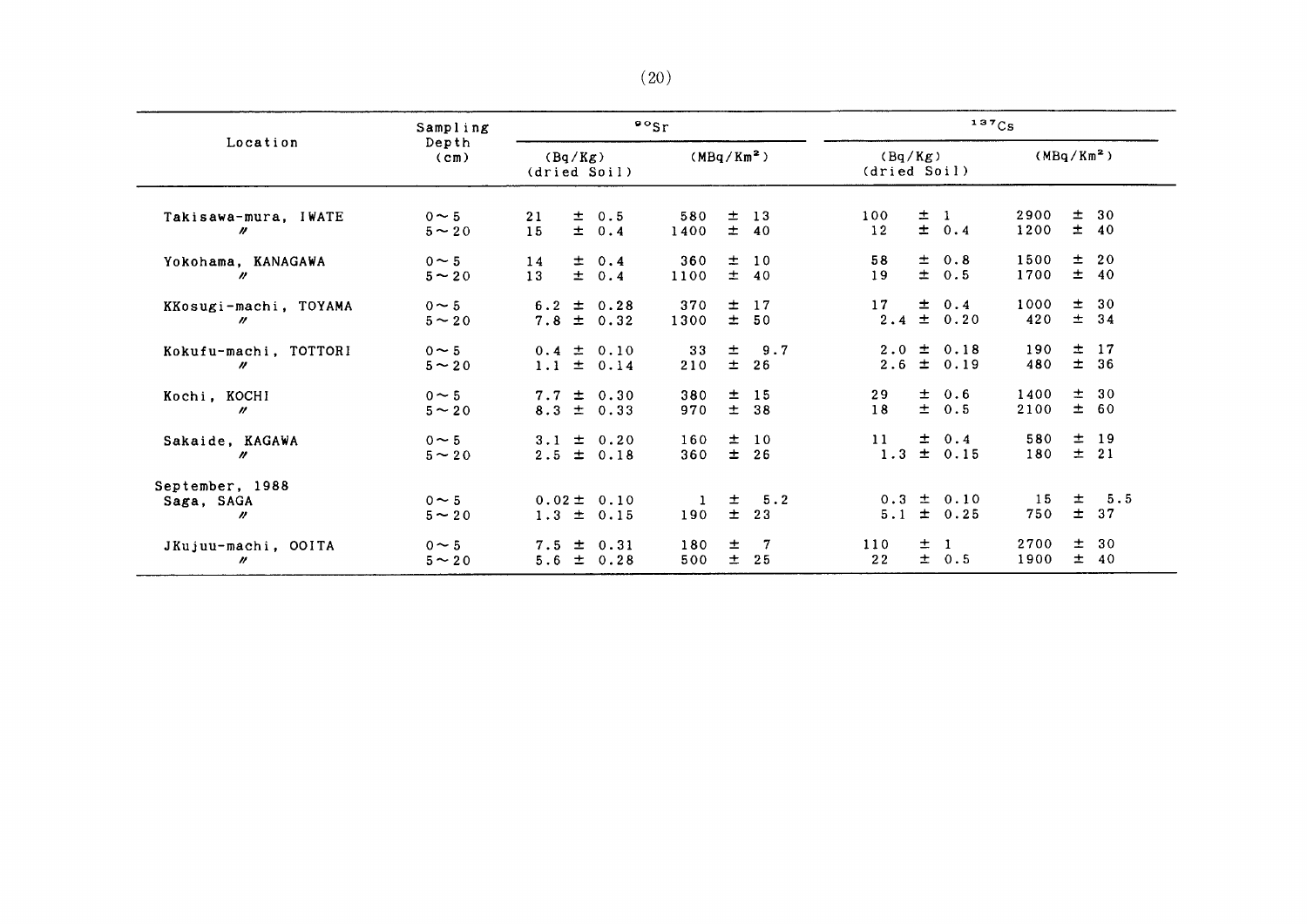|                                             | Sampling                   |                         |  |                                  | $\cdot$ $\cdot$ sr |                |                         | 137Cs      |   |                              |              |                |                  |
|---------------------------------------------|----------------------------|-------------------------|--|----------------------------------|--------------------|----------------|-------------------------|------------|---|------------------------------|--------------|----------------|------------------|
| Location                                    | Depth<br>(c <sub>m</sub> ) | (Bq/Kg)<br>(dried Soil) |  | (MBq/Km <sup>2</sup> )           |                    |                | (Bq/Kg)<br>(dried Soil) |            |   | (MBq/Km <sup>2</sup> )       |              |                |                  |
| Takisawa-mura, IWATE<br>"                   | $0 \sim 5$<br>$5 \sim 20$  | 21<br>15                |  | $\pm$ 0.5<br>$\pm 0.4$           | 580<br>1400        |                | $±$ 13<br>± 40          | 100<br>12  |   | $±$ 1<br>± 0.4               | 2900<br>1200 | $\pm$          | 30<br>± 40       |
| Yokohama, KANAGAWA<br>$\boldsymbol{\prime}$ | $0 \sim 5$<br>$5 \sim 20$  | 14<br>13                |  | $\pm$ 0.4<br>$\pm$ 0.4           | 360<br>1100        |                | $\pm$ 10<br>± 40        | 58<br>19   |   | $\pm$ 0.8<br>± 0.5           | 1500<br>1700 |                | $\pm$ 20<br>± 40 |
| KKosugi-machi, TOYAMA<br>$\prime\prime$     | $0 \sim 5$<br>$5 \sim 20$  |                         |  | $6.2 \pm 0.28$<br>$7.8 \pm 0.32$ | 370<br>1300        | 士              | 17<br>± 50              | 17         |   | $\pm$ 0.4<br>$2.4 \pm 0.20$  | 1000<br>420  | $\pm$<br>$\pm$ | 30<br>34         |
| Kokufu-machi, TOTTORI<br>$\prime\prime$     | $0 \sim 5$<br>$5 \sim 20$  |                         |  | $0.4 \pm 0.10$<br>$1.1 \pm 0.14$ | 33<br>210          | $\pm$<br>$\pm$ | 9.7<br>26               | 2.6        |   | $2.0 \pm 0.18$<br>$\pm$ 0.19 | 190<br>480   | $\pm$          | 17<br>$±$ 36     |
| Kochi, KOCHI<br>$\prime\prime$              | $0 \sim 5$<br>$5 - 20$     |                         |  | $7.7 \pm 0.30$<br>$8.3 \pm 0.33$ | 380<br>970         | $\pm$          | $\pm$ 15<br>38          | 29<br>18   |   | $\pm$ 0.6<br>$\pm$ 0.5       | 1400<br>2100 |                | ± 30<br>± 60     |
| Sakaide, KAGAWA<br>$\prime\prime$           | $0 \sim 5$<br>$5 - 20$     |                         |  | $3.1 \pm 0.20$<br>$2.5 \pm 0.18$ | 160<br>360         |                | $\pm$ 10<br>$±$ 26      | 11<br>1.3  |   | $\pm$ 0.4<br>± 0.15          | 580<br>180   | $\pm$          | 19<br>$\pm$ 21   |
| September, 1988<br>Saga, SAGA<br>n          | $0 \sim 5$<br>$5 \sim 20$  | 1.3                     |  | $0.02 \pm 0.10$<br>$\pm$ 0.15    | 190                | 士<br>$\pm$     | 5.2<br>23               | 0.3<br>5.1 |   | $\pm$ 0.10<br>$\pm 0.25$     | 15<br>750    | 士<br>$\pm$     | 5.5<br>37        |
| JKujuu-machi, OOITA<br>"                    | $0 \sim 5$<br>$5 \sim 20$  | 5.6                     |  | $7.5 \pm 0.31$<br>± 0.28         | 180<br>500         | 士<br>$\pm$     | $\overline{7}$<br>25    | 110<br>22  | 士 | $\mathbf{1}$<br>± 0.5        | 2700<br>1900 | 士<br>$\pm$     | 30<br>40         |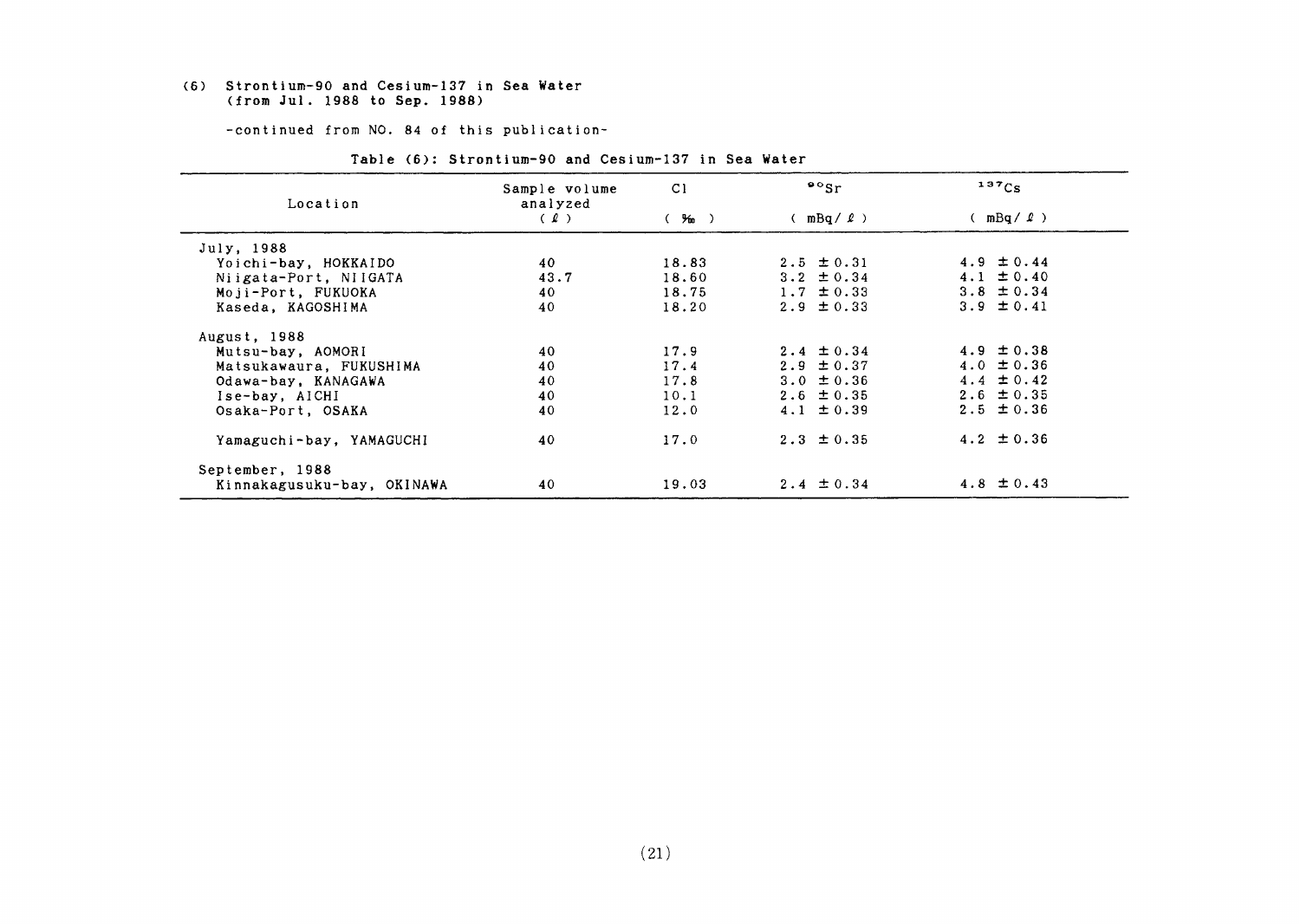#### (6) Strontium-90 and Cesium-137in Sea Water (fromJul.1988 to Sep.1988)

-continued from NO. 84 of this publication-

| Location                   | Sample volume<br>analyzed | C)    | $\frac{80}{5}$ | 137Cs          |
|----------------------------|---------------------------|-------|----------------|----------------|
|                            | (2)                       | (‰)   | $(mBq / \ell)$ | $(mBq / \ell)$ |
| July, 1988                 |                           |       |                |                |
| Yoichi-bay, HOKKAIDO       | 40                        | 18.83 | $2.5 \pm 0.31$ | 4.9 $\pm 0.44$ |
| Niigata-Port, NIIGATA      | 43.7                      | 18.60 | $3.2 \pm 0.34$ | 4.1 $\pm$ 0.40 |
| Moji-Port, FUKUOKA         | 40                        | 18.75 | $1.7 \pm 0.33$ | 3.8 $\pm$ 0.34 |
| Kaseda, KAGOSHIMA          | 40                        | 18.20 | $2.9 \pm 0.33$ | 3.9 $\pm$ 0.41 |
| August, 1988               |                           |       |                |                |
| Mutsu-bay, AOMORI          | 40                        | 17.9  | $2.4 \pm 0.34$ | 4.9 $\pm$ 0.38 |
| Matsukawaura, FUKUSHIMA    | 40                        | 17.4  | $2.9 \pm 0.37$ | 4.0 $\pm$ 0.36 |
| Odawa-bay, KANAGAWA        | 40                        | 17.8  | $3.0 \pm 0.36$ | $4.4 \pm 0.42$ |
| Ise-bay, AICHI             | 40                        | 10.1  | $2.6 \pm 0.35$ | $2.6 \pm 0.35$ |
| Osaka-Port, OSAKA          | 40                        | 12.0  | $4.1 \pm 0.39$ | $2.5 \pm 0.36$ |
| Yamaguchi-bay, YAMAGUCHI   | 40                        | 17.0  | $2.3 \pm 0.35$ | 4.2 $\pm$ 0.36 |
| September, 1988            |                           |       |                |                |
| Kinnakagusuku-bay, OKINAWA | 40                        | 19.03 | $2.4 \pm 0.34$ | 4.8 $\pm$ 0.43 |

#### Table (6): Strontium-90 and Cesium-137 in Sea Water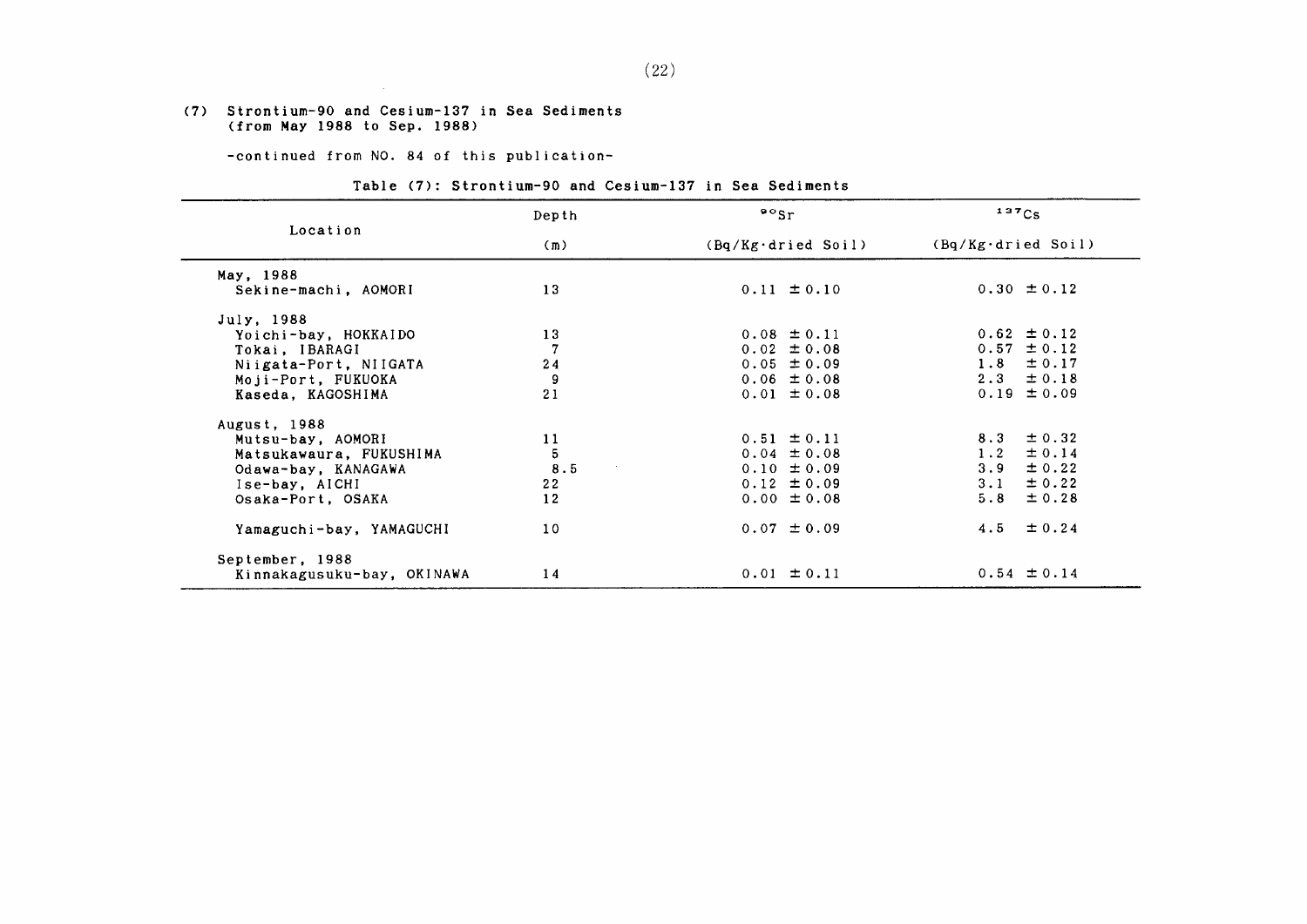#### (7) Strontium-90 and Cesium-137in Sea Sediments (from Hay1988 to Sep.1988)

 $\sim 10^7$ 

-continued from NO. 84 of this publication-

#### Table (7): Strontium-90 and Cesium-137 in Sea Sediments

|                            | Depth          | $\cdot$ $\cdot$ sr          | 137Cs                       |  |  |  |
|----------------------------|----------------|-----------------------------|-----------------------------|--|--|--|
| Location                   | (m)            | $(Bq/Kg \cdot d$ ried Soil) | $(Bq/Kg \cdot d$ ried Soil) |  |  |  |
| May, 1988                  |                |                             |                             |  |  |  |
| Sekine-machi, AOMORI       | 13             | $0.11 \pm 0.10$             | $0.30 \pm 0.12$             |  |  |  |
| July, 1988                 |                |                             |                             |  |  |  |
| Yoichi-bay, HOKKAIDO       | 13             | $0.08 \pm 0.11$             | $0.62 \pm 0.12$             |  |  |  |
| Tokai, IBARAGI             | $\overline{7}$ | $0.02 \pm 0.08$             | $0.57 \pm 0.12$             |  |  |  |
| Niigata-Port, NIIGATA      | 24             | $0.05 \pm 0.09$             | $1.8 \pm 0.17$              |  |  |  |
| Moji-Port, FUKUOKA         | 9              | $0.06 \pm 0.08$             | $2.3 \pm 0.18$              |  |  |  |
| Kaseda, KAGOSHIMA          | 21             | $0.01 \pm 0.08$             | $0.19 \pm 0.09$             |  |  |  |
| August, 1988               |                |                             |                             |  |  |  |
| Mutsu-bay, AOMORI          | 11             | $0.51 \pm 0.11$             | $8.3 \pm 0.32$              |  |  |  |
| Matsukawaura, FUKUSHIMA    | 5              | $0.04 \pm 0.08$             | $1.2 \pm 0.14$              |  |  |  |
| Odawa-bay, KANAGAWA        | 8.5            | $0.10 \pm 0.09$             | 3.9<br>$\pm$ 0.22           |  |  |  |
| Ise-bay, AICHI             | 22             | $0.12 \pm 0.09$             | $3 \cdot 1$<br>$\pm$ 0.22   |  |  |  |
| Osaka-Port, OSAKA          | 12             | $0.00 \pm 0.08$             | $\pm$ 0.28<br>5.8           |  |  |  |
| Yamaguchi-bay, YAMAGUCHI   | 10             | $0.07 \pm 0.09$             | $4.5 \pm 0.24$              |  |  |  |
| September, 1988            |                |                             |                             |  |  |  |
| Kinnakagusuku-bay, OKINAWA | 14             | $0.01 \pm 0.11$             | $0.54 \pm 0.14$             |  |  |  |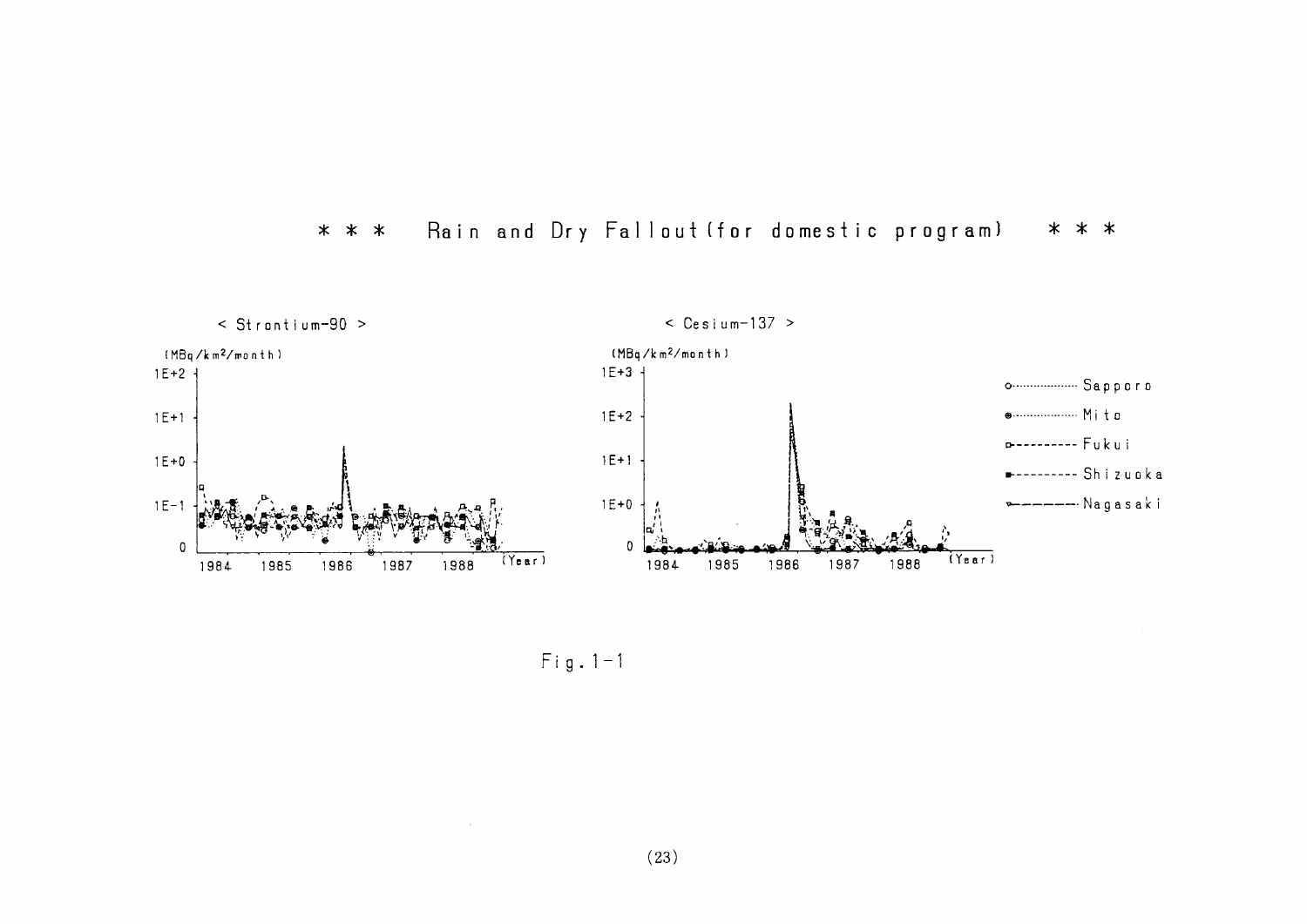



 $Fig. 1-1$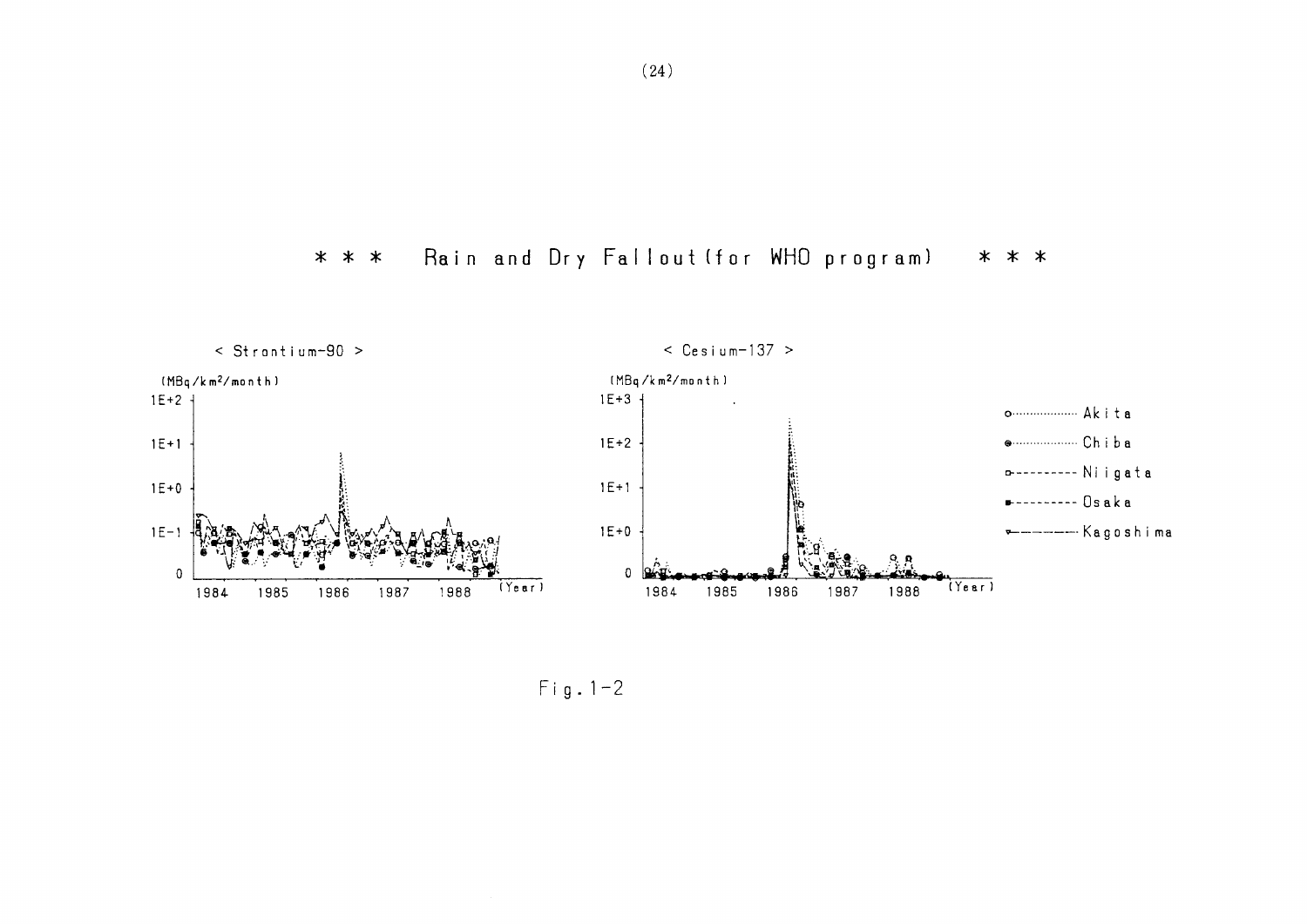Rain and Dry Fallout (for WHO program) \* \* \*  $* * *$ 



 $Fig. 1-2$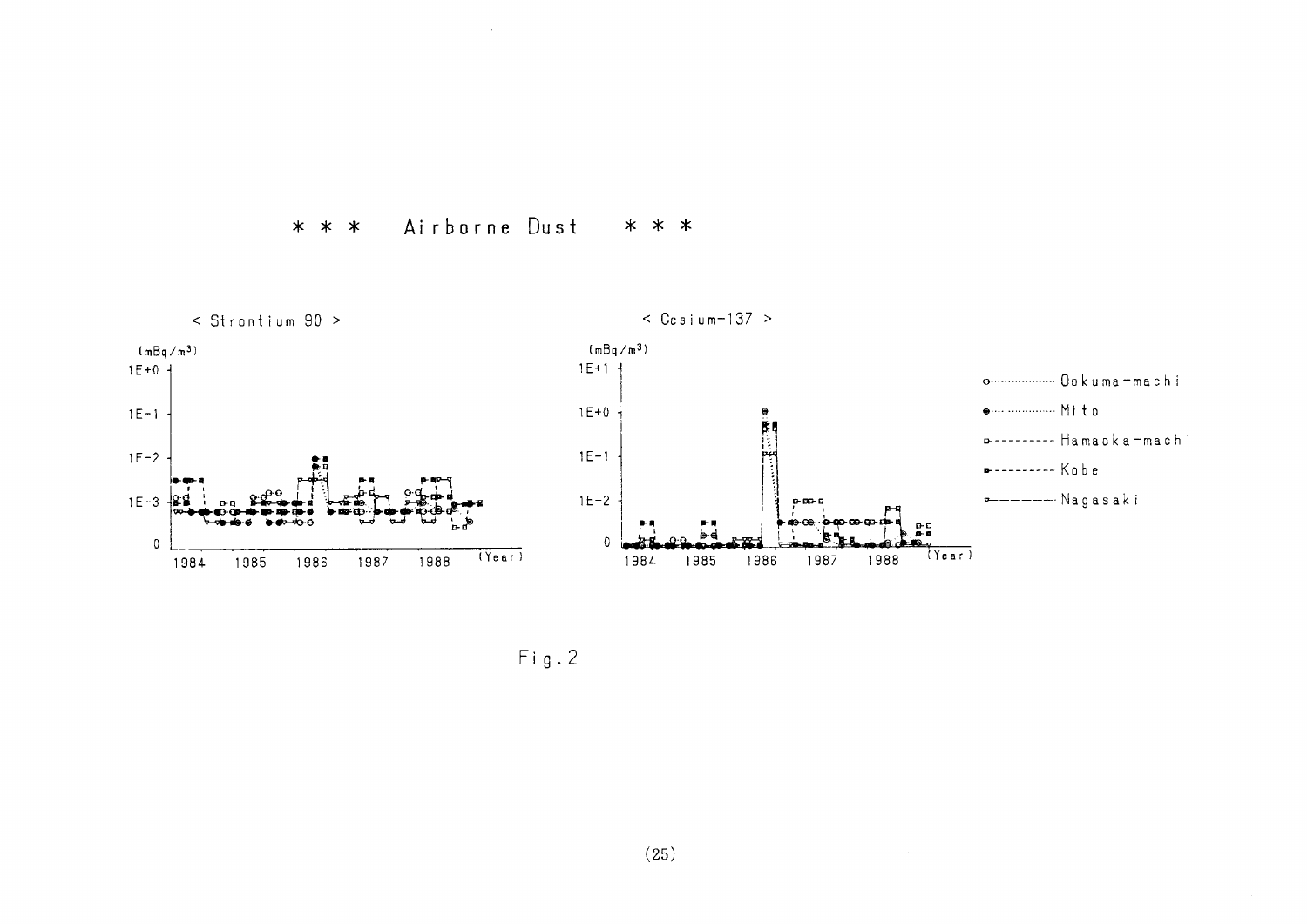



 $Fig. 2$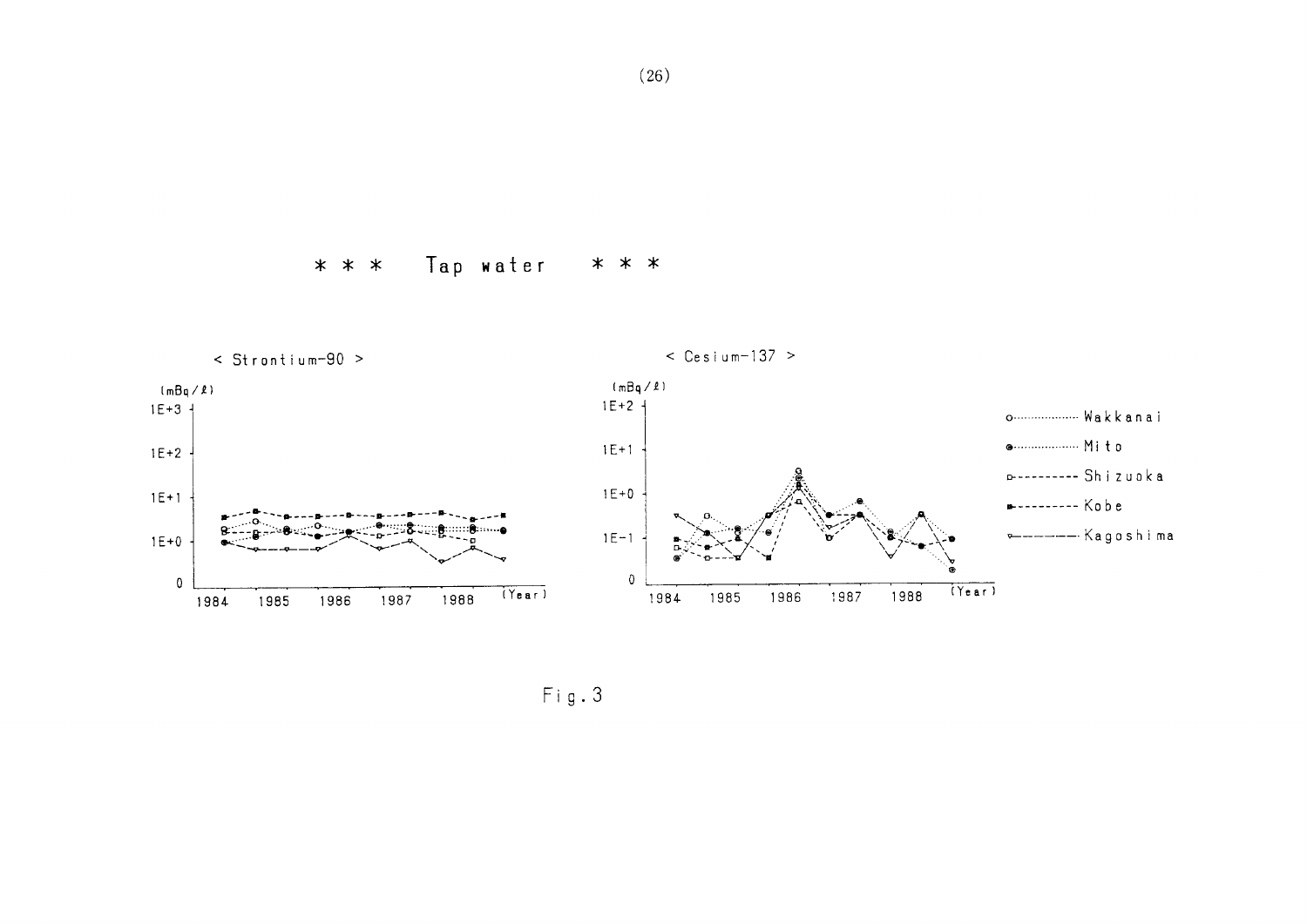Tap water  $* * *$ \* \* \*



 $Fig. 3$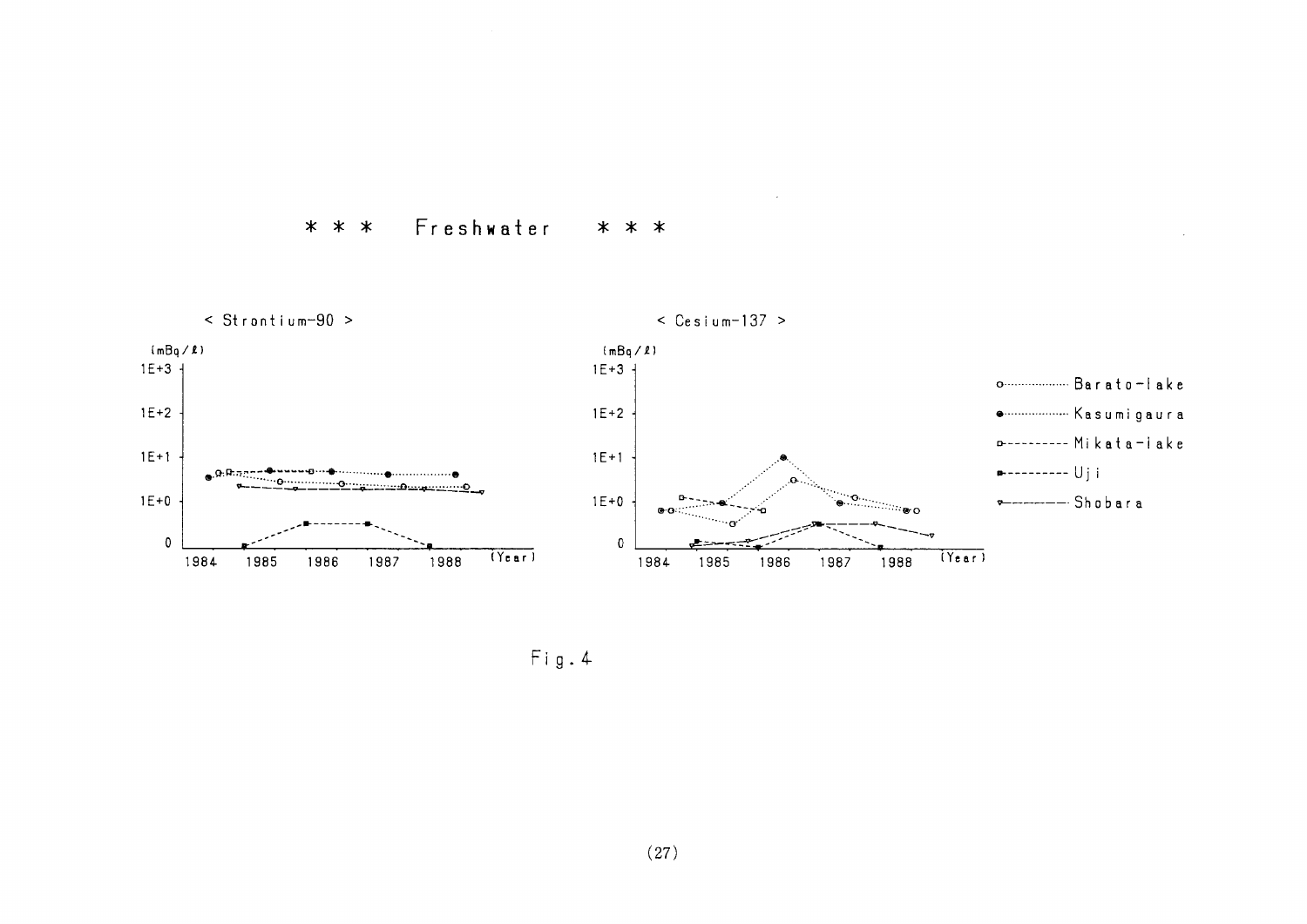



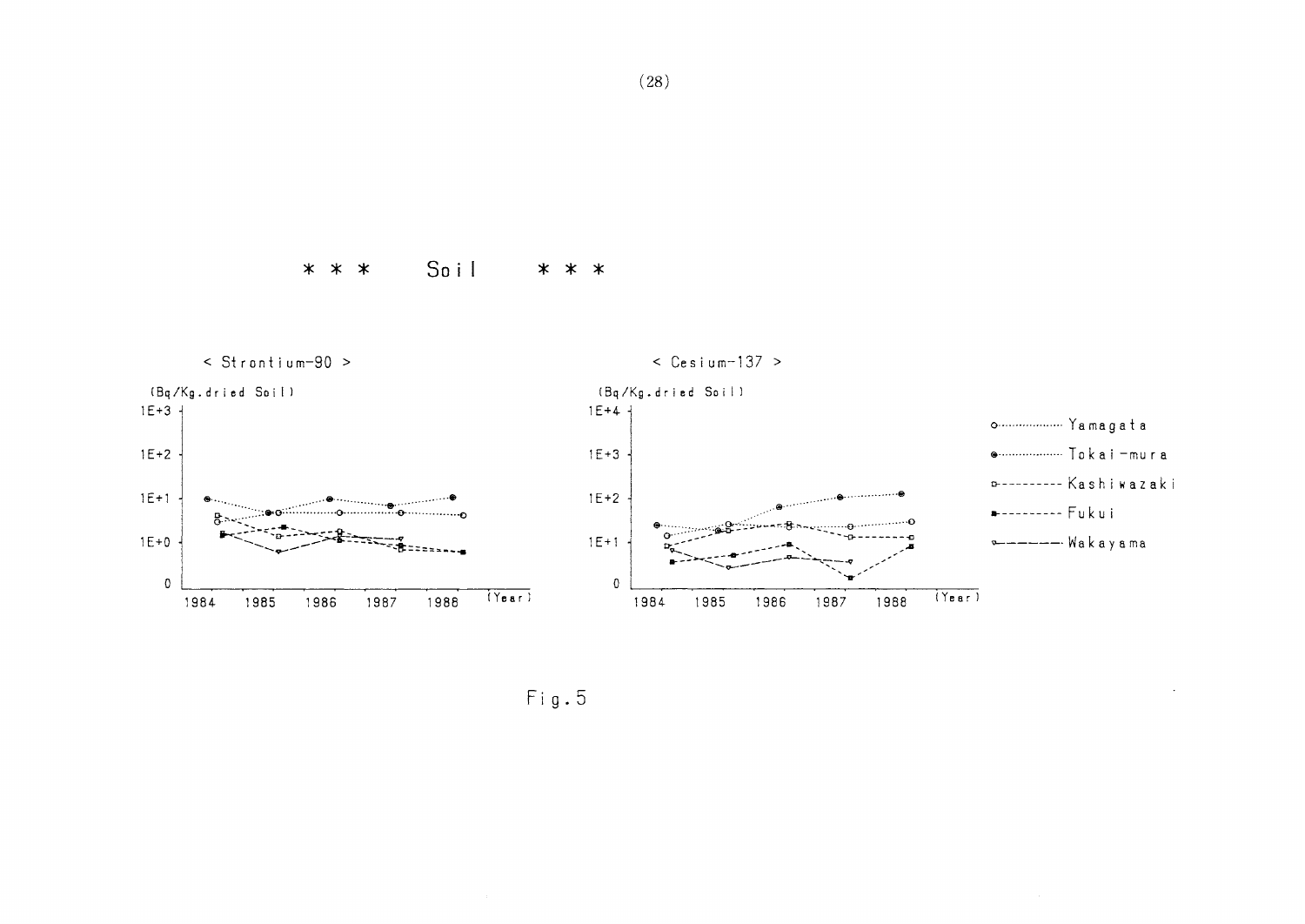$* * *$ Soil \* \* \*



 $Fig. 5$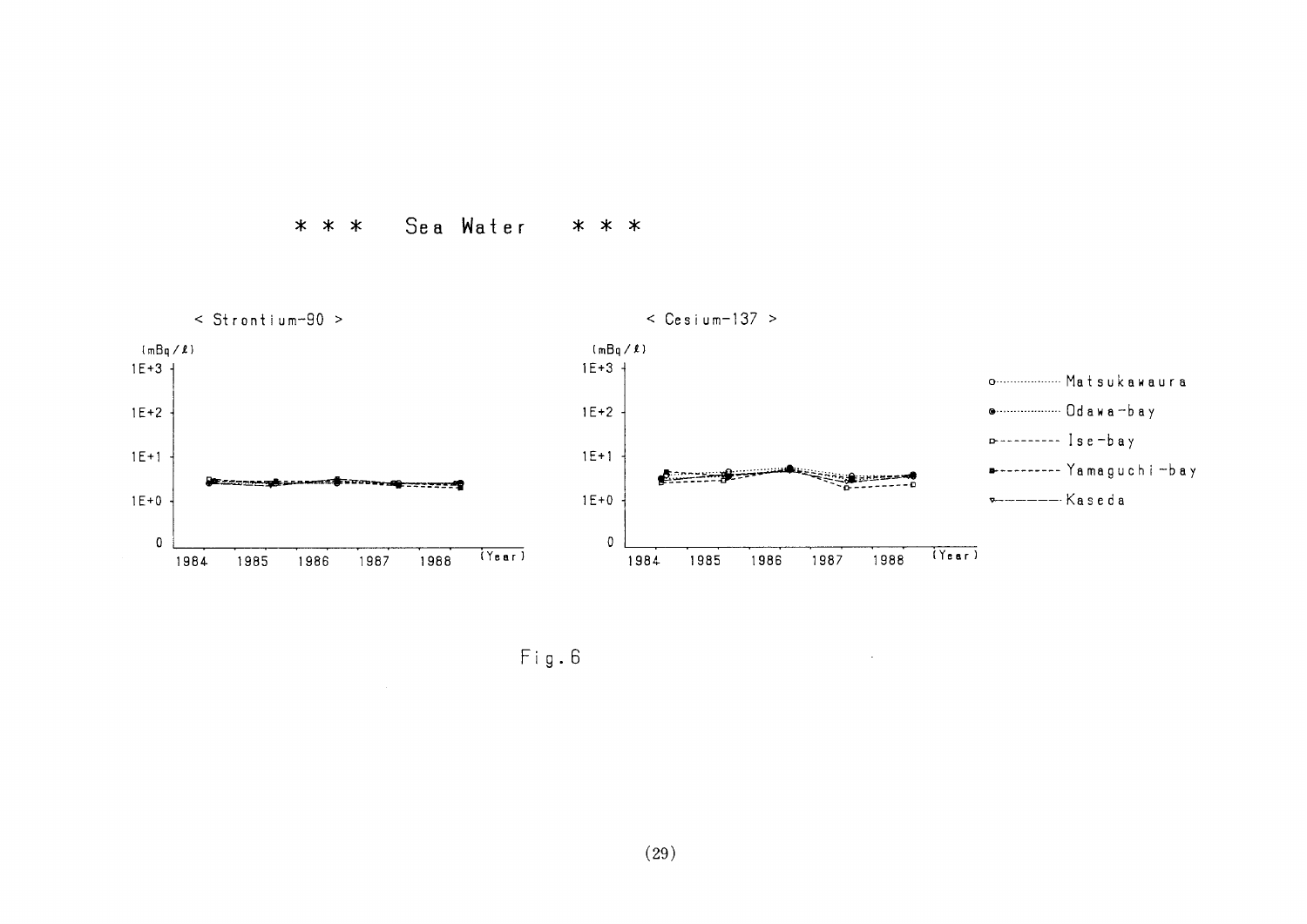#### $* * *$ Sea Water \* \* \*



Fig.6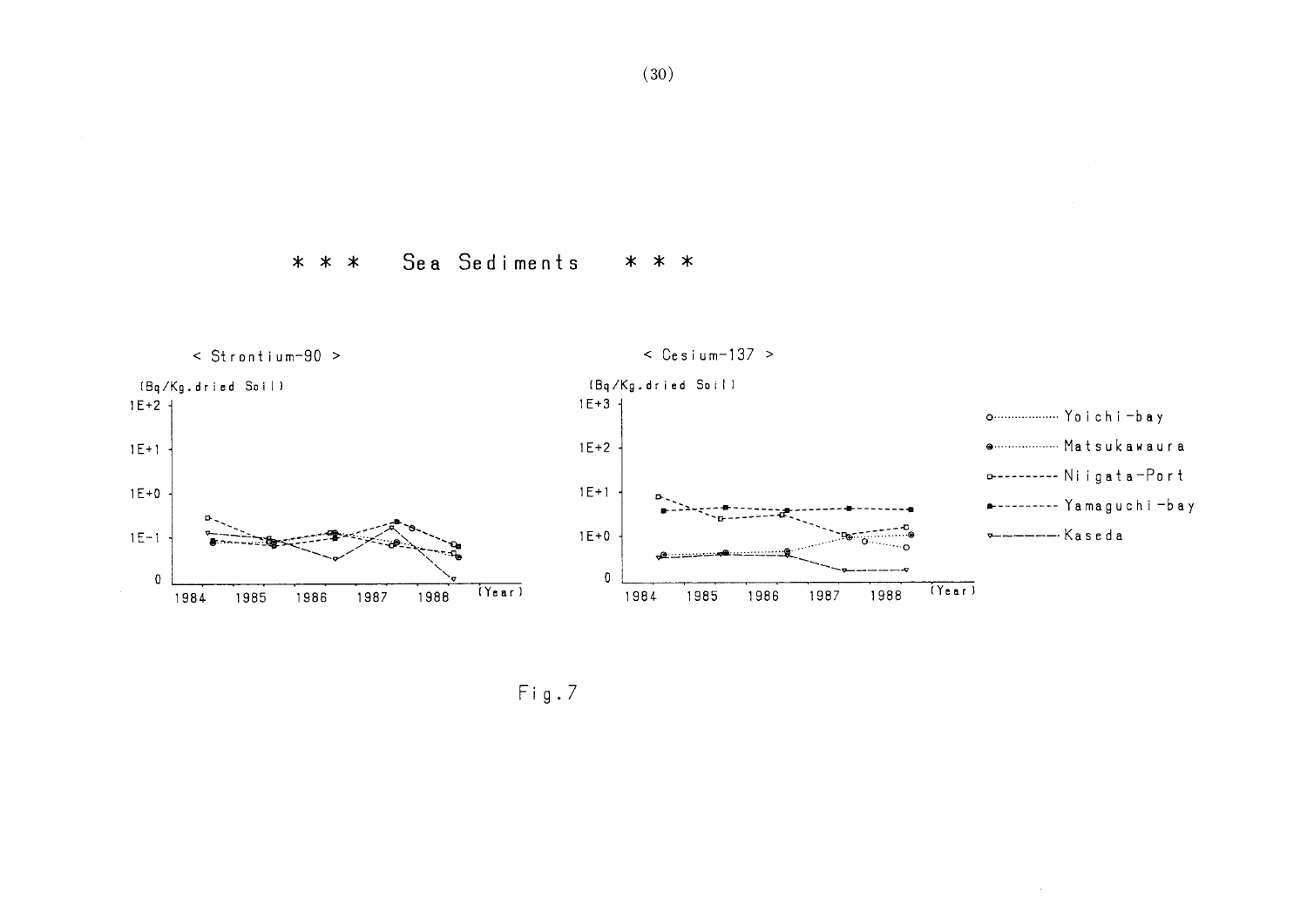#### Sea Sediments  $* * *$ \* \* \*



 $\sim$   $\sim$ 

 $Fig.7$